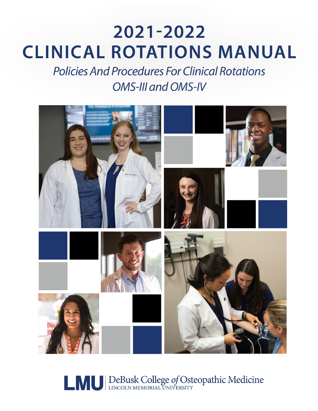# 2021-2022 **CLINICAL ROTATIONS MANUAL**

**Policies And Procedures For Clinical Rotations OMS-III and OMS-IV** 



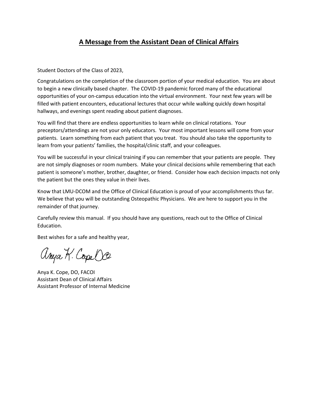## **A Message from the Assistant Dean of Clinical Affairs**

Student Doctors of the Class of 2023,

Congratulations on the completion of the classroom portion of your medical education. You are about to begin a new clinically based chapter. The COVID-19 pandemic forced many of the educational opportunities of your on-campus education into the virtual environment. Your next few years will be filled with patient encounters, educational lectures that occur while walking quickly down hospital hallways, and evenings spent reading about patient diagnoses.

You will find that there are endless opportunities to learn while on clinical rotations. Your preceptors/attendings are not your only educators. Your most important lessons will come from your patients. Learn something from each patient that you treat. You should also take the opportunity to learn from your patients' families, the hospital/clinic staff, and your colleagues.

You will be successful in your clinical training if you can remember that your patients are people. They are not simply diagnoses or room numbers. Make your clinical decisions while remembering that each patient is someone's mother, brother, daughter, or friend. Consider how each decision impacts not only the patient but the ones they value in their lives.

Know that LMU-DCOM and the Office of Clinical Education is proud of your accomplishments thus far. We believe that you will be outstanding Osteopathic Physicians. We are here to support you in the remainder of that journey.

Carefully review this manual. If you should have any questions, reach out to the Office of Clinical Education.

Best wishes for a safe and healthy year,

anya K. Cope Oce

Anya K. Cope, DO, FACOI Assistant Dean of Clinical Affairs Assistant Professor of Internal Medicine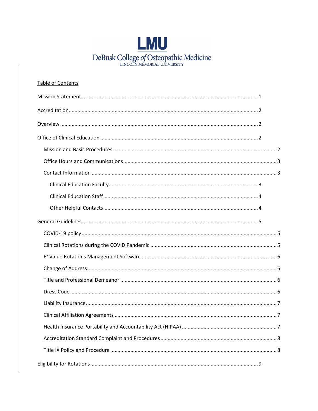

| Table of Contents |  |
|-------------------|--|
|                   |  |
|                   |  |
|                   |  |
|                   |  |
|                   |  |
|                   |  |
|                   |  |
|                   |  |
|                   |  |
|                   |  |
|                   |  |
|                   |  |
|                   |  |
|                   |  |
|                   |  |
|                   |  |
|                   |  |
|                   |  |
|                   |  |
|                   |  |
|                   |  |
|                   |  |
|                   |  |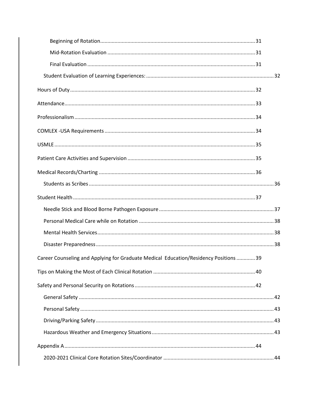| Career Counseling and Applying for Graduate Medical Education/Residency Positions  39 |  |
|---------------------------------------------------------------------------------------|--|
|                                                                                       |  |
|                                                                                       |  |
|                                                                                       |  |
|                                                                                       |  |
|                                                                                       |  |
|                                                                                       |  |
|                                                                                       |  |
|                                                                                       |  |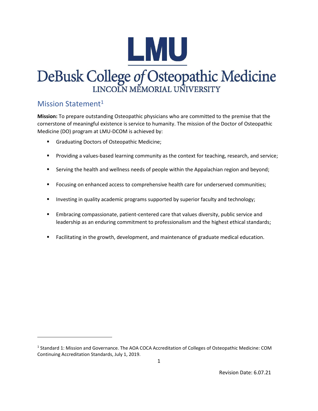

# DeBusk College of Osteopathic Medicine LINCOLN MEMORIAL UNIVERSITY

## <span id="page-7-0"></span>Mission Statement<sup>1</sup>

**Mission:** To prepare outstanding Osteopathic physicians who are committed to the premise that the cornerstone of meaningful existence is service to humanity. The mission of the Doctor of Osteopathic Medicine (DO) program at LMU-DCOM is achieved by:

- Graduating Doctors of Osteopathic Medicine;
- Providing a values-based learning community as the context for teaching, research, and service;
- **E** Serving the health and wellness needs of people within the Appalachian region and beyond;
- Focusing on enhanced access to comprehensive health care for underserved communities;
- Investing in quality academic programs supported by superior faculty and technology;
- **Embracing compassionate, patient-centered care that values diversity, public service and** leadership as an enduring commitment to professionalism and the highest ethical standards;
- Facilitating in the growth, development, and maintenance of graduate medical education.

<sup>&</sup>lt;sup>1</sup> Standard 1: Mission and Governance. The AOA COCA Accreditation of Colleges of Osteopathic Medicine: COM Continuing Accreditation Standards, July 1, 2019.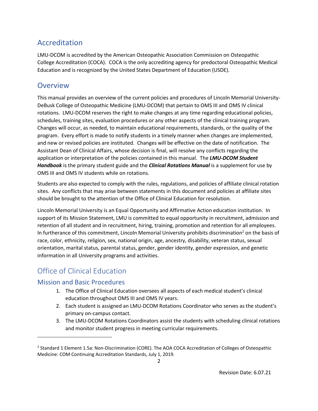# <span id="page-8-0"></span>Accreditation

LMU-DCOM is accredited by the American Osteopathic Association Commission on Osteopathic College Accreditation (COCA). COCA is the only accrediting agency for predoctoral Osteopathic Medical Education and is recognized by the United States Department of Education (USDE).

## <span id="page-8-1"></span>**Overview**

This manual provides an overview of the current policies and procedures of Lincoln Memorial University-DeBusk College of Osteopathic Medicine (LMU-DCOM) that pertain to OMS III and OMS IV clinical rotations. LMU-DCOM reserves the right to make changes at any time regarding educational policies, schedules, training sites, evaluation procedures or any other aspects of the clinical training program. Changes will occur, as needed, to maintain educational requirements, standards, or the quality of the program. Every effort is made to notify students in a timely manner when changes are implemented, and new or revised policies are instituted. Changes will be effective on the date of notification. The Assistant Dean of Clinical Affairs, whose decision is final, will resolve any conflicts regarding the application or interpretation of the policies contained in this manual. The *LMU-DCOM Student Handbook* is the primary student guide and the *Clinical Rotations Manual* is a supplement for use by OMS III and OMS IV students while on rotations.

Students are also expected to comply with the rules, regulations, and policies of affiliate clinical rotation sites. Any conflicts that may arise between statements in this document and policies at affiliate sites should be brought to the attention of the Office of Clinical Education for resolution.

Lincoln Memorial University is an Equal Opportunity and Affirmative Action education institution. In support of its Mission Statement, LMU is committed to equal opportunity in recruitment, admission and retention of all student and in recruitment, hiring, training, promotion and retention for all employees. In furtherance of this commitment, Lincoln Memorial University prohibits discrimination<sup>2</sup> on the basis of race, color, ethnicity, religion, sex, national origin, age, ancestry, disability, veteran status, sexual orientation, marital status, parental status, gender, gender identity, gender expression, and genetic information in all University programs and activities.

# <span id="page-8-2"></span>Office of Clinical Education

## <span id="page-8-3"></span>Mission and Basic Procedures

- 1. The Office of Clinical Education oversees all aspects of each medical student's clinical education throughout OMS III and OMS IV years.
- 2. Each student is assigned an LMU-DCOM Rotations Coordinator who serves as the student's primary on-campus contact.
- 3. The LMU-DCOM Rotations Coordinators assist the students with scheduling clinical rotations and monitor student progress in meeting curricular requirements.

<sup>&</sup>lt;sup>2</sup> Standard 1 Element 1.5a: Non-Discrimination (CORE). The AOA COCA Accreditation of Colleges of Osteopathic Medicine: COM Continuing Accreditation Standards, July 1, 2019.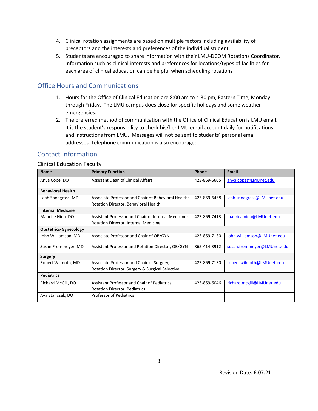- 4. Clinical rotation assignments are based on multiple factors including availability of preceptors and the interests and preferences of the individual student.
- 5. Students are encouraged to share information with their LMU-DCOM Rotations Coordinator. Information such as clinical interests and preferences for locations/types of facilities for each area of clinical education can be helpful when scheduling rotations

## <span id="page-9-0"></span>Office Hours and Communications

- 1. Hours for the Office of Clinical Education are 8:00 am to 4:30 pm, Eastern Time, Monday through Friday. The LMU campus does close for specific holidays and some weather emergencies.
- 2. The preferred method of communication with the Office of Clinical Education is LMU email. It is the student's responsibility to check his/her LMU email account daily for notifications and instructions from LMU. Messages will not be sent to students' personal email addresses. Telephone communication is also encouraged.

## <span id="page-9-1"></span>Contact Information

#### <span id="page-9-2"></span>Clinical Education Faculty

| <b>Name</b>                  | <b>Primary Function</b>                             | <b>Email</b> |                            |
|------------------------------|-----------------------------------------------------|--------------|----------------------------|
| Anya Cope, DO                | Assistant Dean of Clinical Affairs                  | 423-869-6605 | anya.cope@LMUnet.edu       |
| <b>Behavioral Health</b>     |                                                     |              |                            |
| Leah Snodgrass, MD           | Associate Professor and Chair of Behavioral Health; | 423-869-6468 | leah.snodgrass@LMUnet.edu  |
|                              | Rotation Director, Behavioral Health                |              |                            |
| <b>Internal Medicine</b>     |                                                     |              |                            |
| Maurice Nida, DO             | Assistant Professor and Chair of Internal Medicine; | 423-869-7413 | maurica.nida@LMUnet.edu    |
|                              | Rotation Director, Internal Medicine                |              |                            |
| <b>Obstetrics-Gynecology</b> |                                                     |              |                            |
| John Williamson, MD          | Associate Professor and Chair of OB/GYN             | 423-869-7130 | john.williamson@LMUnet.edu |
| Susan Frommeyer, MD          | Assistant Professor and Rotation Director, OB/GYN   | 865-414-3912 | susan.frommeyer@LMUnet.edu |
| <b>Surgery</b>               |                                                     |              |                            |
| Robert Wilmoth, MD           | Associate Professor and Chair of Surgery;           | 423-869-7130 | robert.wilmoth@LMUnet.edu  |
|                              | Rotation Director, Surgery & Surgical Selective     |              |                            |
| <b>Pediatrics</b>            |                                                     |              |                            |
| Richard McGill, DO           | Assistant Professor and Chair of Pediatrics;        | 423-869-6046 | richard.mcgill@LMUnet.edu  |
|                              | <b>Rotation Director, Pediatrics</b>                |              |                            |
| Ava Stanczak, DO             | <b>Professor of Pediatrics</b>                      |              |                            |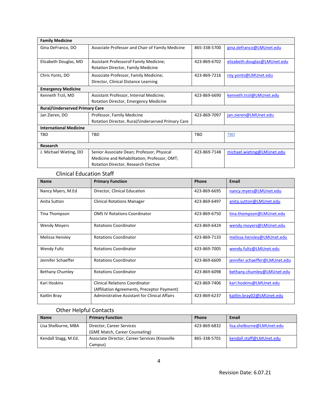| <b>Family Medicine</b>                |                                                                                              |              |                              |  |
|---------------------------------------|----------------------------------------------------------------------------------------------|--------------|------------------------------|--|
| Gina DeFranco, DO                     | Associate Professor and Chair of Family Medicine<br>865-338-5700<br>gina.defranco@LMUnet.edu |              |                              |  |
|                                       |                                                                                              |              |                              |  |
| Elizabeth Douglas, MD                 | Assistant Professorof Family Medicine;                                                       | 423-869-6702 | elizabeth.douglas@LMUnet.edu |  |
|                                       | Rotation Director, Family Medicine                                                           |              |                              |  |
| Chris Yonts, DO                       | Associate Professor, Family Medicine;                                                        | 423-869-7216 | roy.yonts@LMUnet.edu         |  |
|                                       | Director, Clinical Distance Learning                                                         |              |                              |  |
| <b>Emergency Medicine</b>             |                                                                                              |              |                              |  |
| Kenneth Trzil, MD                     | Assistant Professor, Internal Medicine;                                                      | 423-869-6690 | kenneth.trzil@LMUnet.edu     |  |
| Rotation Director, Emergency Medicine |                                                                                              |              |                              |  |
| <b>Rural/Underserved Primary Care</b> |                                                                                              |              |                              |  |
| Jan Zieren, DO                        | Professor, Family Medicine                                                                   | 423-869-7097 | jan.zieren@LMUnet.edu        |  |
|                                       | Rotation Director, Rural/Underserved Primary Care                                            |              |                              |  |
| <b>International Medicine</b>         |                                                                                              |              |                              |  |
| TBD                                   | <b>TRD</b>                                                                                   | <b>TBD</b>   | <b>TBD</b>                   |  |
|                                       |                                                                                              |              |                              |  |
| Research                              |                                                                                              |              |                              |  |
| J. Michael Wieting, DO                | Senior Associate Dean; Professor, Physical                                                   | 423-869-7148 | michael.wieting@LMUnet.edu   |  |
|                                       | Medicine and Rehabilitation; Professor, OMT;                                                 |              |                              |  |
|                                       | Rotation Director, Research Elective                                                         |              |                              |  |

#### Clinical Education Staff

<span id="page-10-0"></span>

| <b>Name</b>            | <b>Primary Function</b>                                                       | Phone        | <b>Email</b>                  |  |  |
|------------------------|-------------------------------------------------------------------------------|--------------|-------------------------------|--|--|
| Nancy Myers, M.Ed      | Director, Clinical Education                                                  | 423-869-6695 | nancy.myers@LMUnet.edu        |  |  |
| Anita Sutton           | <b>Clinical Rotations Manager</b>                                             | 423-869-6497 | anita.sutton@LMUnet.edu       |  |  |
| Tina Thompson          | <b>OMS IV Rotations Coordinator</b>                                           | 423-869-6750 | tina.thompson@LMUnet.edu      |  |  |
| <b>Wendy Moyers</b>    | <b>Rotations Coordinator</b>                                                  | 423-869-6424 | wendy.moyers@LMUnet.edu       |  |  |
| Melissa Hensley        | <b>Rotations Coordinator</b>                                                  | 423-869-7133 | melissa.hensley@LMUnet.edu    |  |  |
| <b>Wendy Fultz</b>     | <b>Rotations Coordinator</b>                                                  | 423-869-7005 | wendy.fultz@LMUnet.edu        |  |  |
| Jennifer Schaeffer     | <b>Rotations Coordinator</b>                                                  | 423-869-6609 | jennifer.schaeffer@LMUnet.edu |  |  |
| <b>Bethany Chumley</b> | <b>Rotations Coordinator</b>                                                  | 423-869-6098 | bethany.chumley@LMUnet.edu    |  |  |
| Kari Hoskins           | Clinical Relations Coordinator<br>(Affiliation Agreements, Preceptor Payment) | 423-869-7406 | kari.hoskins@LMUnet.edu       |  |  |
| Kaitlin Bray           | Administrative Assistant for Clinical Affairs                                 | 423-869-6237 | kaitlin.bray02@LMUnet.edu     |  |  |

## Other Helpful Contacts

<span id="page-10-1"></span>

| <b>Name</b>          | <b>Primary Function</b>                        | <b>Phone</b> | Email                     |
|----------------------|------------------------------------------------|--------------|---------------------------|
| Lisa Shelburne, MBA  | Director, Career Services                      | 423-869-6832 | lisa.shelburne@LMUnet.edu |
|                      | (GME Match, Career Counseling)                 |              |                           |
| Kendall Stagg, M.Ed. | Associate Director, Career Services (Knoxville |              | kendall.staff@LMUnet.edu  |
|                      | Campus)                                        |              |                           |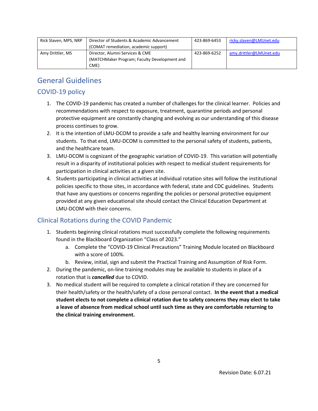| Rick Slaven, MPS, NRP | Director of Students & Academic Advancement  | 423-869-6453 | ricky.slaven@LMUnet.edu |
|-----------------------|----------------------------------------------|--------------|-------------------------|
|                       | (COMAT remediation, academic support)        |              |                         |
| Amy Drittler, MS      | Director, Alumni Services & CME              | 423-869-6252 | amy.drittler@LMUnet.edu |
|                       | (MATCHMaker Program; Faculty Development and |              |                         |
|                       | CME)                                         |              |                         |

# <span id="page-11-0"></span>General Guidelines

## <span id="page-11-1"></span>COVID-19 policy

- 1. The COVID-19 pandemic has created a number of challenges for the clinical learner. Policies and recommendations with respect to exposure, treatment, quarantine periods and personal protective equipment are constantly changing and evolving as our understanding of this disease process continues to grow.
- 2. It is the intention of LMU-DCOM to provide a safe and healthy learning environment for our students. To that end, LMU-DCOM is committed to the personal safety of students, patients, and the healthcare team.
- 3. LMU-DCOM is cognizant of the geographic variation of COVID-19. This variation will potentially result in a disparity of institutional policies with respect to medical student requirements for participation in clinical activities at a given site.
- 4. Students participating in clinical activities at individual rotation sites will follow the institutional policies specific to those sites, in accordance with federal, state and CDC guidelines. Students that have any questions or concerns regarding the policies or personal protective equipment provided at any given educational site should contact the Clinical Education Department at LMU-DCOM with their concerns.

## <span id="page-11-2"></span>Clinical Rotations during the COVID Pandemic

- 1. Students beginning clinical rotations must successfully complete the following requirements found in the Blackboard Organization "Class of 2023."
	- a. Complete the "COVID-19 Clinical Precautions" Training Module located on Blackboard with a score of 100%.
	- b. Review, initial, sign and submit the Practical Training and Assumption of Risk Form.
- 2. During the pandemic, on-line training modules may be available to students in place of a rotation that is *cancelled* due to COVID.
- 3. No medical student will be required to complete a clinical rotation if they are concerned for their health/safety or the health/safety of a close personal contact. **In the event that a medical student elects to not complete a clinical rotation due to safety concerns they may elect to take a leave of absence from medical school until such time as they are comfortable returning to the clinical training environment.**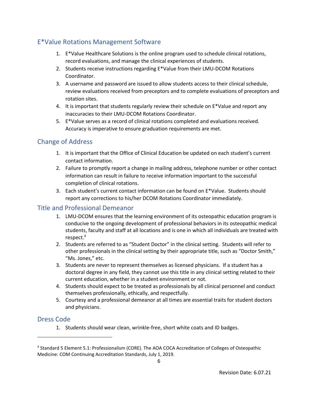## <span id="page-12-0"></span>E\*Value Rotations Management Software

- 1. E\*Value Healthcare Solutions is the online program used to schedule clinical rotations, record evaluations, and manage the clinical experiences of students.
- 2. Students receive instructions regarding E\*Value from their LMU-DCOM Rotations Coordinator.
- 3. A username and password are issued to allow students access to their clinical schedule, review evaluations received from preceptors and to complete evaluations of preceptors and rotation sites.
- 4. It is important that students regularly review their schedule on E\*Value and report any inaccuracies to their LMU-DCOM Rotations Coordinator.
- 5. E\*Value serves as a record of clinical rotations completed and evaluations received. Accuracy is imperative to ensure graduation requirements are met.

## <span id="page-12-1"></span>Change of Address

- 1. It is important that the Office of Clinical Education be updated on each student's current contact information.
- 2. Failure to promptly report a change in mailing address, telephone number or other contact information can result in failure to receive information important to the successful completion of clinical rotations.
- 3. Each student's current contact information can be found on E\*Value. Students should report any corrections to his/her DCOM Rotations Coordinator immediately.

#### <span id="page-12-2"></span>Title and Professional Demeanor

- 1. LMU-DCOM ensures that the learning environment of its osteopathic education program is conducive to the ongoing development of professional behaviors in its osteopathic medical students, faculty and staff at all locations and is one in which all individuals are treated with respect.<sup>4</sup>
- 2. Students are referred to as "Student Doctor" in the clinical setting. Students will refer to other professionals in the clinical setting by their appropriate title, such as "Doctor Smith," "Ms. Jones," etc.
- 3. Students are never to represent themselves as licensed physicians. If a student has a doctoral degree in any field, they cannot use this title in any clinical setting related to their current education, whether in a student environment or not.
- 4. Students should expect to be treated as professionals by all clinical personnel and conduct themselves professionally, ethically, and respectfully.
- 5. Courtesy and a professional demeanor at all times are essential traits for student doctors and physicians.

#### <span id="page-12-3"></span>Dress Code

1. Students should wear clean, wrinkle-free, short white coats and ID badges.

<sup>4</sup> Standard 5 Element 5.1: Professionalism (CORE). The AOA COCA Accreditation of Colleges of Osteopathic Medicine: COM Continuing Accreditation Standards, July 1, 2019.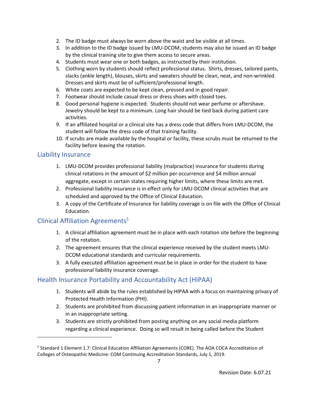- 2. The ID badge must always be worn above the waist and be visible at all times.
- 3. In addition to the ID badge issued by LMU-DCOM, students may also be issued an ID badge by the clinical training site to give them access to secure areas.
- 4. Students must wear one or both badges, as instructed by their institution.
- 5. Clothing worn by students should reflect professional status. Shirts, dresses, tailored pants, slacks (ankle length), blouses, skirts and sweaters should be clean, neat, and non-wrinkled. Dresses and skirts must be of sufficient/professional length.
- 6. White coats are expected to be kept clean, pressed and in good repair.
- 7. Footwear should include casual dress or dress shoes with closed toes.
- 8. Good personal hygiene is expected. Students should not wear perfume or aftershave. Jewelry should be kept to a minimum. Long hair should be tied back during patient care activities.
- 9. If an affiliated hospital or a clinical site has a dress code that differs from LMU-DCOM, the student will follow the dress code of that training facility.
- 10. If scrubs are made available by the hospital or facility, these scrubs must be returned to the facility before leaving the rotation.

#### <span id="page-13-0"></span>Liability Insurance

- 1. LMU-DCOM provides professional liability (malpractice) insurance for students during clinical rotations in the amount of \$2 million per occurrence and \$4 million annual aggregate, except in certain states requiring higher limits, where these limits are met.
- 2. Professional liability insurance is in effect only for LMU-DCOM clinical activities that are scheduled and approved by the Office of Clinical Education.
- 3. A copy of the Certificate of Insurance for liability coverage is on file with the Office of Clinical Education.

## <span id="page-13-1"></span>Clinical Affiliation Agreements<sup>5</sup>

- 1. A clinical affiliation agreement must be in place with each rotation site before the beginning of the rotation.
- 2. The agreement ensures that the clinical experience received by the student meets LMU-DCOM educational standards and curricular requirements.
- 3. A fully executed affiliation agreement must be in place in order for the student to have professional liability insurance coverage.

## <span id="page-13-2"></span>Health Insurance Portability and Accountability Act (HIPAA)

- 1. Students will abide by the rules established by HIPAA with a focus on maintaining privacy of Protected Health Information (PHI).
- 2. Students are prohibited from discussing patient information in an inappropriate manner or in an inappropriate setting.
- 3. Students are strictly prohibited from posting anything on any social media platform regarding a clinical experience. Doing so will result in being called before the Student

<sup>&</sup>lt;sup>5</sup> Standard 1 Element 1.7: Clinical Education Affiliation Agreements (CORE). The AOA COCA Accreditation of Colleges of Osteopathic Medicine: COM Continuing Accreditation Standards, July 1, 2019.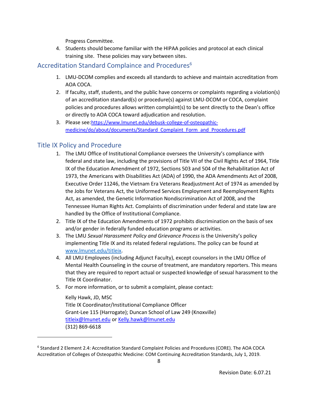Progress Committee.

4. Students should become familiar with the HIPAA policies and protocol at each clinical training site. These policies may vary between sites.

## <span id="page-14-0"></span>Accreditation Standard Complaince and Procedures<sup>6</sup>

- 1. LMU-DCOM complies and exceeds all standards to achieve and maintain accreditation from AOA COCA.
- 2. If faculty, staff, students, and the public have concerns or complaints regarding a violation(s) of an accreditation standard(s) or procedure(s) against LMU-DCOM or COCA, complaint policies and procedures allows written complaint(s) to be sent directly to the Dean's office or directly to AOA COCA toward adjudication and resolution.
- 3. Please see:[https://www.lmunet.edu/debusk-college-of-osteopathic](https://www.lmunet.edu/debusk-college-of-osteopathic-medicine/do/about/documents/Standard_Complaint_Form_and_Procedures.pdf)[medicine/do/about/documents/Standard\\_Complaint\\_Form\\_and\\_Procedures.pdf](https://www.lmunet.edu/debusk-college-of-osteopathic-medicine/do/about/documents/Standard_Complaint_Form_and_Procedures.pdf)

## <span id="page-14-1"></span>Title IX Policy and Procedure

- 1. The LMU Office of Institutional Compliance oversees the University's compliance with federal and state law, including the provisions of Title VII of the Civil Rights Act of 1964, Title IX of the Education Amendment of 1972, Sections 503 and 504 of the Rehabilitation Act of 1973, the Americans with Disabilities Act (ADA) of 1990, the ADA Amendments Act of 2008, Executive Order 11246, the Vietnam Era Veterans Readjustment Act of 1974 as amended by the Jobs for Veterans Act, the Uniformed Services Employment and Reemployment Rights Act, as amended, the Genetic Information Nondiscrimination Act of 2008, and the Tennessee Human Rights Act. Complaints of discrimination under federal and state law are handled by the Office of Institutional Compliance.
- 2. Title IX of the Education Amendments of 1972 prohibits discrimination on the basis of sex and/or gender in federally funded education programs or activities.
- 3. The LMU *Sexual Harassment Policy and Grievance Process* is the University's policy implementing Title IX and its related federal regulations. The policy can be found at [www.lmunet.edu/titleix.](http://www.lmunet.edu/titleix)
- 4. All LMU Employees (including Adjunct Faculty), except counselors in the LMU Office of Mental Health Counseling in the course of treatment, are mandatory reporters. This means that they are required to report actual or suspected knowledge of sexual harassment to the Title IX Coordinator.
- 5. For more information, or to submit a complaint, please contact:

Kelly Hawk, JD, MSC Title IX Coordinator/Institutional Compliance Officer Grant-Lee 115 (Harrogate); Duncan School of Law 249 (Knoxville) [titleix@lmunet.edu](mailto:titleix@lmunet.edu) o[r Kelly.hawk@lmunet.edu](mailto:Kelly.hawk@lmunet.edu) (312) 869-6618

<sup>6</sup> Standard 2 Element 2.4: Accreditation Standard Complaint Policies and Procedures (CORE). The AOA COCA Accreditation of Colleges of Osteopathic Medicine: COM Continuing Accreditation Standards, July 1, 2019.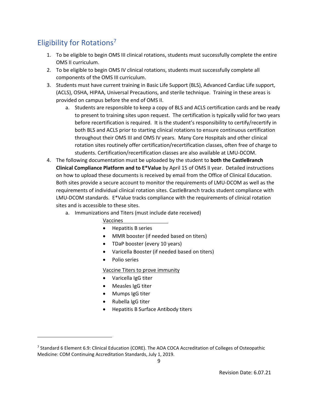# <span id="page-15-0"></span>Eligibility for Rotations<sup>7</sup>

- 1. To be eligible to begin OMS III clinical rotations, students must successfully complete the entire OMS II curriculum.
- 2. To be eligible to begin OMS IV clinical rotations, students must successfully complete all components of the OMS III curriculum.
- 3. Students must have current training in Basic Life Support (BLS), Advanced Cardiac Life support, (ACLS), OSHA, HIPAA, Universal Precautions, and sterile technique. Training in these areas is provided on campus before the end of OMS II.
	- a. Students are responsible to keep a copy of BLS and ACLS certification cards and be ready to present to training sites upon request. The certification is typically valid for two years before recertification is required. It is the student's responsibility to certify/recertify in both BLS and ACLS prior to starting clinical rotations to ensure continuous certification throughout their OMS III and OMS IV years. Many Core Hospitals and other clinical rotation sites routinely offer certification/recertification classes, often free of charge to students. Certification/recertification classes are also available at LMU-DCOM.
- 4. The following documentation must be uploaded by the student to **both the CastleBranch Clinical Compliance Platform and to E\*Value** by April 15 of OMS II year. Detailed instructions on how to upload these documents is received by email from the Office of Clinical Education. Both sites provide a secure account to monitor the requirements of LMU-DCOM as well as the requirements of individual clinical rotation sites. CastleBranch tracks student compliance with LMU-DCOM standards. E\*Value tracks compliance with the requirements of clinical rotation sites and is accessible to these sites.
	- a. Immunizations and Titers (must include date received)
		- Vaccines
		- Hepatitis B series
		- MMR booster (if needed based on titers)
		- TDaP booster (every 10 years)
		- Varicella Booster (if needed based on titers)
		- Polio series

#### Vaccine Titers to prove immunity

- Varicella IgG titer
- Measles IgG titer
- Mumps IgG titer
- Rubella IgG titer
- Hepatitis B Surface Antibody titers

<sup>&</sup>lt;sup>7</sup> Standard 6 Element 6.9: Clinical Education (CORE). The AOA COCA Accreditation of Colleges of Osteopathic Medicine: COM Continuing Accreditation Standards, July 1, 2019.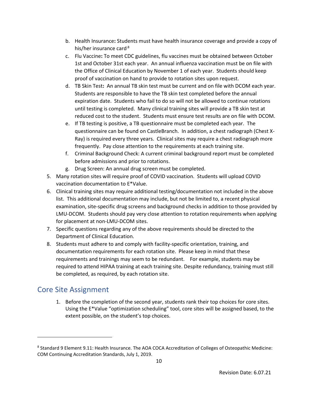- b. Health Insurance**:** Students must have health insurance coverage and provide a copy of his/her insurance card<sup>8</sup>
- c. Flu Vaccine**:** To meet CDC guidelines, flu vaccines must be obtained between October 1st and October 31st each year. An annual influenza vaccination must be on file with the Office of Clinical Education by November 1 of each year. Students should keep proof of vaccination on hand to provide to rotation sites upon request.
- d. TB Skin Test**:** An annual TB skin test must be current and on file with DCOM each year. Students are responsible to have the TB skin test completed before the annual expiration date. Students who fail to do so will not be allowed to continue rotations until testing is completed. Many clinical training sites will provide a TB skin test at reduced cost to the student. Students must ensure test results are on file with DCOM.
- e. If TB testing is positive, a TB questionnaire must be completed each year. The questionnaire can be found on CastleBranch. In addition, a chest radiograph (Chest X-Ray) is required every three years. Clinical sites may require a chest radiograph more frequently. Pay close attention to the requirements at each training site.
- f. Criminal Background Check: A current criminal background report must be completed before admissions and prior to rotations.
- g. Drug Screen: An annual drug screen must be completed.
- 5. Many rotation sites will require proof of COVID vaccination. Students will upload COVID vaccination documentation to E\*Value.
- 6. Clinical training sites may require additional testing/documentation not included in the above list. This additional documentation may include, but not be limited to, a recent physical examination, site-specific drug screens and background checks in addition to those provided by LMU-DCOM. Students should pay very close attention to rotation requirements when applying for placement at non-LMU-DCOM sites.
- 7. Specific questions regarding any of the above requirements should be directed to the Department of Clinical Education.
- 8. Students must adhere to and comply with facility-specific orientation, training, and documentation requirements for each rotation site. Please keep in mind that these requirements and trainings may seem to be redundant. For example, students may be required to attend HIPAA training at each training site. Despite redundancy, training must still be completed, as required, by each rotation site.

## <span id="page-16-0"></span>Core Site Assignment

1. Before the completion of the second year, students rank their top choices for core sites. Using the E\*Value "optimization scheduling" tool, core sites will be assigned based, to the extent possible, on the student's top choices.

<sup>&</sup>lt;sup>8</sup> Standard 9 Element 9.11: Health Insurance. The AOA COCA Accreditation of Colleges of Osteopathic Medicine: COM Continuing Accreditation Standards, July 1, 2019.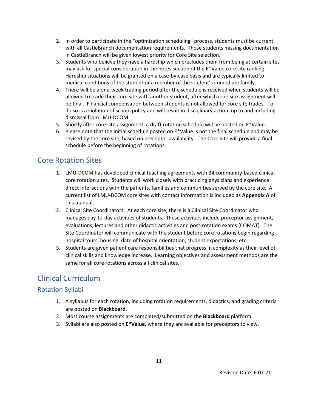- 2. In order to participate in the "optimization scheduling" process, students must be current with all CastleBranch documentation requirements. Those students missing documentation in CastleBranch will be given lowest priority for Core Site selection.
- 3. Students who believe they have a hardship which precludes them from being at certain sites may ask for special consideration in the notes section of the E\*Value core site ranking. Hardship situations will be granted on a case-by-case basis and are typically limited to medical conditions of the student or a member of the student's immediate family.
- 4. There will be a one-week trading period after the schedule is received when students will be allowed to trade their core site with another student, after which core site assignment will be final. Financial compensation between students is not allowed for core site trades. To do so is a violation of school policy and will result in disciplinary action, up to and including dismissal from LMU-DCOM.
- 5. Shortly after core site assignment, a draft rotation schedule will be posted on E\*Value.
- 6. Please note that the initial schedule posted on  $E^*$ Value is not the final schedule and may be revised by the core site, based on preceptor availability. The Core Site will provide a final schedule before the beginning of rotations.

# <span id="page-17-0"></span>Core Rotation Sites

- 1. LMU-DCOM has developed clinical teaching agreements with 34 community-based clinical core rotation sites. Students will work closely with practicing physicians and experience direct interactions with the patients, families and communities served by the core site. A current list of LMU-DCOM core sites with contact information is included as **Appendix A** of this manual.
- 2. Clinical Site Coordinators: At each core site, there is a Clinical Site Coordinator who manages day-to-day activities of students. These activities include preceptor assignment, evaluations, lectures and other didactic activities and post-rotation exams (COMAT). The Site Coordinator will communicate with the student before core rotations begin regarding hospital tours, housing, date of hospital orientation, student expectations, etc.
- 3. Students are given patient care responsibilities that progress in complexity as their level of clinical skills and knowledge increase. Learning objectives and assessment methods are the same for all core rotations across all clinical sites.

# <span id="page-17-1"></span>Clinical Curriculum

## <span id="page-17-2"></span>Rotation Syllabi

- 1. A syllabus for each rotation, including rotation requirements, didactics, and grading criteria are posted on **Blackboard**.
- 2. Most course assignments are completed/submitted on the **Blackboard** platform.
- <span id="page-17-3"></span>3. Syllabi are also posted on **E\*Value,** where they are available for preceptors to view.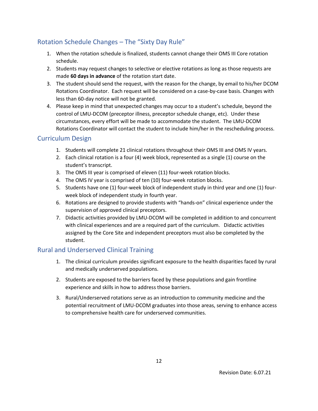## Rotation Schedule Changes – The "Sixty Day Rule"

- 1. When the rotation schedule is finalized, students cannot change their OMS III Core rotation schedule.
- 2. Students may request changes to selective or elective rotations as long as those requests are made **60 days in advance** of the rotation start date.
- 3. The student should send the request, with the reason for the change, by email to his/her DCOM Rotations Coordinator. Each request will be considered on a case-by-case basis. Changes with less than 60-day notice will not be granted.
- 4. Please keep in mind that unexpected changes may occur to a student's schedule, beyond the control of LMU-DCOM (preceptor illness, preceptor schedule change, etc). Under these circumstances, every effort will be made to accommodate the student. The LMU-DCOM Rotations Coordinator will contact the student to include him/her in the rescheduling process.

#### <span id="page-18-0"></span>Curriculum Design

- 1. Students will complete 21 clinical rotations throughout their OMS III and OMS IV years.
- 2. Each clinical rotation is a four (4) week block, represented as a single (1) course on the student's transcript.
- 3. The OMS III year is comprised of eleven (11) four-week rotation blocks.
- 4. The OMS IV year is comprised of ten (10) four-week rotation blocks.
- 5. Students have one (1) four-week block of independent study in third year and one (1) fourweek block of independent study in fourth year.
- 6. Rotations are designed to provide students with "hands-on" clinical experience under the supervision of approved clinical preceptors.
- 7. Didactic activities provided by LMU-DCOM will be completed in addition to and concurrent with clinical experiences and are a required part of the curriculum. Didactic activities assigned by the Core Site and independent preceptors must also be completed by the student.

## <span id="page-18-1"></span>Rural and Underserved Clinical Training

- 1. The clinical curriculum provides significant exposure to the health disparities faced by rural and medically underserved populations.
- 2. Students are exposed to the barriers faced by these populations and gain frontline experience and skills in how to address those barriers.
- 3. Rural/Underserved rotations serve as an introduction to community medicine and the potential recruitment of LMU-DCOM graduates into those areas, serving to enhance access to comprehensive health care for underserved communities.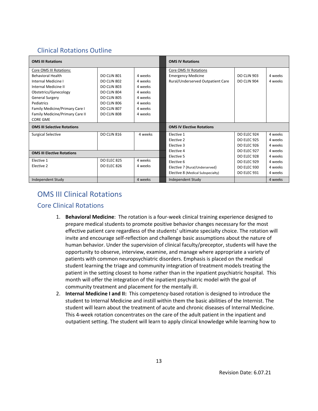## <span id="page-19-0"></span>Clinical Rotations Outline

| <b>OMS III Rotations</b>                                                                                                                              |                                                                         |                                                     | <b>OMS IV Rotations</b>                                                                 |                                                                |                               |
|-------------------------------------------------------------------------------------------------------------------------------------------------------|-------------------------------------------------------------------------|-----------------------------------------------------|-----------------------------------------------------------------------------------------|----------------------------------------------------------------|-------------------------------|
| Core OMS III Rotations:<br><b>Behavioral Health</b><br>Internal Medicine I<br>Internal Medicine II                                                    | DO CLIN 801<br>DO CLIN 802<br>DO CLIN 803                               | 4 weeks<br>4 weeks<br>4 weeks                       | Core OMS IV Rotations<br><b>Emergency Medicine</b><br>Rural/Underserved Outpatient Care | <b>DO CLIN 903</b><br>DO CLIN 904                              | 4 weeks<br>4 weeks            |
| Obstetrics/Gynecology<br><b>General Surgery</b><br>Pediatrics<br>Family Medicine/Primary Care I<br>Family Medicine/Primary Care II<br><b>CORE GME</b> | DO CLIN 804<br>DO CLIN 805<br>DO CLIN 806<br>DO CLIN 807<br>DO CLIN 808 | 4 weeks<br>4 weeks<br>4 weeks<br>4 weeks<br>4 weeks |                                                                                         |                                                                |                               |
| <b>OMS III Selective Rotations</b>                                                                                                                    |                                                                         |                                                     | <b>OMS IV Elective Rotations</b>                                                        |                                                                |                               |
| Surgical Selective                                                                                                                                    | DO CLIN 816                                                             | 4 weeks                                             | Elective 1<br>Elective 2<br>Elective 3                                                  | <b>DO ELEC 924</b><br><b>DO ELEC 925</b><br><b>DO ELEC 926</b> | 4 weeks<br>4 weeks<br>4 weeks |
| <b>OMS III Elective Rotations</b>                                                                                                                     |                                                                         |                                                     | Elective 4<br>Elective 5                                                                | <b>DO ELEC 927</b><br><b>DO ELEC 928</b>                       | 4 weeks<br>4 weeks            |
| Elective 1<br>Elective 2                                                                                                                              | <b>DO ELEC 825</b><br><b>DO ELEC 826</b>                                | 4 weeks<br>4 weeks                                  | Elective 6<br>Elective 7 (Rural/Underserved)<br>Elective 8 (Medical Subspecialty)       | <b>DO ELEC 929</b><br>DO ELEC 930<br><b>DO ELEC 931</b>        | 4 weeks<br>4 weeks<br>4 weeks |
| Independent Study                                                                                                                                     |                                                                         | 4 weeks                                             | Independent Study                                                                       |                                                                | 4 weeks                       |

# <span id="page-19-1"></span>OMS III Clinical Rotations

## <span id="page-19-2"></span>Core Clinical Rotations

- 1. **Behavioral Medicine**: The rotation is a four-week clinical training experience designed to prepare medical students to promote positive behavior changes necessary for the most effective patient care regardless of the students' ultimate specialty choice. The rotation will invite and encourage self-reflection and challenge basic assumptions about the nature of human behavior. Under the supervision of clinical faculty/preceptor, students will have the opportunity to observe, interview, examine, and manage where appropriate a variety of patients with common neuropsychiatric disorders. Emphasis is placed on the medical student learning the triage and community integration of treatment models treating the patient in the setting closest to home rather than in the inpatient psychiatric hospital. This month will offer the integration of the inpatient psychiatric model with the goal of community treatment and placement for the mentally ill.
- 2. **Internal Medicine I and II:** This competency-based rotation is designed to introduce the student to Internal Medicine and instill within them the basic abilities of the Internist. The student will learn about the treatment of acute and chronic diseases of Internal Medicine. This 4-week rotation concentrates on the care of the adult patient in the inpatient and outpatient setting. The student will learn to apply clinical knowledge while learning how to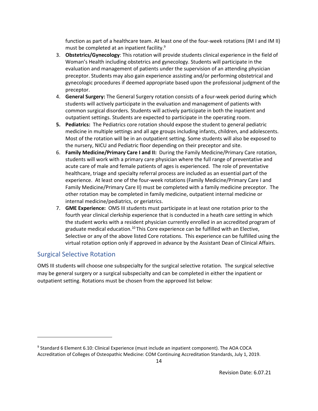function as part of a healthcare team. At least one of the four-week rotations (IM I and IM II) must be completed at an inpatient facility.<sup>9</sup>

- 3. **Obstetrics/Gynecology**: This rotation will provide students clinical experience in the field of Woman's Health including obstetrics and gynecology. Students will participate in the evaluation and management of patients under the supervision of an attending physician preceptor. Students may also gain experience assisting and/or performing obstetrical and gynecologic procedures if deemed appropriate based upon the professional judgment of the preceptor.
- 4. **General Surgery:** The General Surgery rotation consists of a four-week period during which students will actively participate in the evaluation and management of patients with common surgical disorders. Students will actively participate in both the inpatient and outpatient settings. Students are expected to participate in the operating room.
- **5. Pediatrics:** The Pediatrics core rotation should expose the student to general pediatric medicine in multiple settings and all age groups including infants, children, and adolescents. Most of the rotation will be in an outpatient setting. Some students will also be exposed to the nursery, NICU and Pediatric floor depending on their preceptor and site.
- 6. **Family Medicine/Primary Care I and II:** During the Family Medicine/Primary Care rotation, students will work with a primary care physician where the full range of preventative and acute care of male and female patients of ages is experienced. The role of preventative healthcare, triage and specialty referral process are included as an essential part of the experience. At least one of the four-week rotations (Family Medicine/Primary Care I and Family Medicine/Primary Care II) must be completed with a family medicine preceptor. The other rotation may be completed in family medicine, outpatient internal medicine or internal medicine/pediatrics, or geriatrics.
- 7. **GME Experience:** OMS III students must participate in at least one rotation prior to the fourth year clinical clerkship experience that is conducted in a heath care setting in which the student works with a resident physician currently enrolled in an accredited program of graduate medical education.<sup>10</sup> This Core experience can be fulfilled with an Elective, Selective or any of the above listed Core rotations. This experience can be fulfilled using the virtual rotation option only if approved in advance by the Assistant Dean of Clinical Affairs.

## <span id="page-20-0"></span>Surgical Selective Rotation

OMS III students will choose one subspecialty for the surgical selective rotation. The surgical selective may be general surgery or a surgical subspecialty and can be completed in either the inpatient or outpatient setting. Rotations must be chosen from the approved list below:

<sup>&</sup>lt;sup>9</sup> Standard 6 Element 6.10: Clinical Experience (must include an inpatient component). The AOA COCA Accreditation of Colleges of Osteopathic Medicine: COM Continuing Accreditation Standards, July 1, 2019.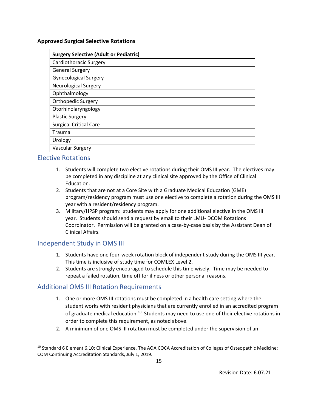#### **Approved Surgical Selective Rotations**

| <b>Surgery Selective (Adult or Pediatric)</b> |
|-----------------------------------------------|
| Cardiothoracic Surgery                        |
| <b>General Surgery</b>                        |
| <b>Gynecological Surgery</b>                  |
| <b>Neurological Surgery</b>                   |
| Ophthalmology                                 |
| Orthopedic Surgery                            |
| Otorhinolaryngology                           |
| <b>Plastic Surgery</b>                        |
| <b>Surgical Critical Care</b>                 |
| Trauma                                        |
| Urology                                       |
| <b>Vascular Surgery</b>                       |

#### <span id="page-21-0"></span>Elective Rotations

- 1. Students will complete two elective rotations during their OMS III year. The electives may be completed in any discipline at any clinical site approved by the Office of Clinical Education.
- 2. Students that are not at a Core Site with a Graduate Medical Education (GME) program/residency program must use one elective to complete a rotation during the OMS III year with a resident/residency program.
- 3. Military/HPSP program: students may apply for one additional elective in the OMS III year. Students should send a request by email to their LMU- DCOM Rotations Coordinator. Permission will be granted on a case-by-case basis by the Assistant Dean of Clinical Affairs.

## <span id="page-21-1"></span>Independent Study in OMS III

- 1. Students have one four-week rotation block of independent study during the OMS III year. This time is inclusive of study time for COMLEX Level 2.
- 2. Students are strongly encouraged to schedule this time wisely. Time may be needed to repeat a failed rotation, time off for illness or other personal reasons.

## <span id="page-21-2"></span>Additional OMS III Rotation Requirements

- 1. One or more OMS III rotations must be completed in a health care setting where the student works with resident physicians that are currently enrolled in an accredited program of graduate medical education.<sup>10</sup> Students may need to use one of their elective rotations in order to complete this requirement, as noted above.
- 2. A minimum of one OMS III rotation must be completed under the supervision of an

<sup>&</sup>lt;sup>10</sup> Standard 6 Element 6.10: Clinical Experience. The AOA COCA Accreditation of Colleges of Osteopathic Medicine: COM Continuing Accreditation Standards, July 1, 2019.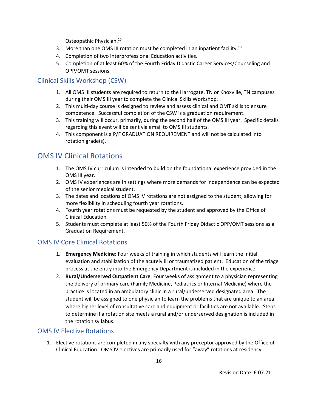Osteopathic Physician.<sup>10</sup>

- 3. More than one OMS III rotation must be completed in an inpatient facility.<sup>10</sup>
- 4. Completion of two Interprofessional Education activities.
- 5. Completion of at least 60% of the Fourth Friday Didactic Career Services/Counseling and OPP/OMT sessions.

## <span id="page-22-0"></span>Clinical Skills Workshop (CSW)

- 1. All OMS III students are required to return to the Harrogate, TN or Knoxville, TN campuses during their OMS III year to complete the Clinical Skills Workshop.
- 2. This multi-day course is designed to review and assess clinical and OMT skills to ensure competence. Successful completion of the CSW is a graduation requirement.
- 3. This training will occur, primarily, during the second half of the OMS III year. Specific details regarding this event will be sent via email to OMS III students.
- 4. This component is a P/F GRADUATION REQUIREMENT and will not be calculated into rotation grade(s).

## <span id="page-22-1"></span>OMS IV Clinical Rotations

- 1. The OMS IV curriculum is intended to build on the foundational experience provided in the OMS III year.
- 2. OMS IV experiences are in settings where more demands for independence can be expected of the senior medical student.
- 3. The dates and locations of OMS IV rotations are not assigned to the student, allowing for more flexibility in scheduling fourth year rotations.
- 4. Fourth year rotations must be requested by the student and approved by the Office of Clinical Education.
- 5. Students must complete at least 50% of the Fourth Friday Didactic OPP/OMT sessions as a Graduation Requirement.

## <span id="page-22-2"></span>OMS IV Core Clinical Rotations

- 1. **Emergency Medicine**: Four weeks of training in which students will learn the initial evaluation and stabilization of the acutely ill or traumatized patient. Education of the triage process at the entry into the Emergency Department is included in the experience.
- 2. **Rural/Underserved Outpatient Care**: Four weeks of assignment to a physician representing the delivery of primary care (Family Medicine, Pediatrics or Internal Medicine) where the practice is located in an ambulatory clinic in a rural/underserved designated area. The student will be assigned to one physician to learn the problems that are unique to an area where higher level of consultative care and equipment or facilities are not available. Steps to determine if a rotation site meets a rural and/or underserved designation is included in the rotation syllabus.

## <span id="page-22-3"></span>OMS IV Elective Rotations

1. Elective rotations are completed in any specialty with any preceptor approved by the Office of Clinical Education. OMS IV electives are primarily used for "away" rotations at residency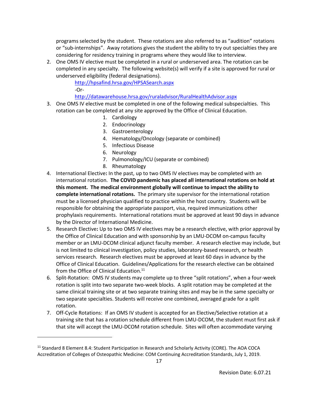programs selected by the student. These rotations are also referred to as "audition" rotations or "sub-internships". Away rotations gives the student the ability to try out specialties they are considering for residency training in programs where they would like to interview.

2. One OMS IV elective must be completed in a rural or underserved area. The rotation can be completed in any specialty. The following website(s) will verify if a site is approved for rural or underserved eligibility (federal designations).

> <http://hpsafind.hrsa.gov/HPSASearch.aspx> -Or-

<http://datawarehouse.hrsa.gov/ruraladvisor/RuralHealthAdvisor.aspx>

- 3. One OMS IV elective must be completed in one of the following medical subspecialties. This rotation can be completed at any site approved by the Office of Clinical Education.
	- 1. Cardiology
	- 2. Endocrinology
	- 3. Gastroenterology
	- 4. Hematology/Oncology (separate or combined)
	- 5. Infectious Disease
	- 6. Neurology
	- 7. Pulmonology/ICU (separate or combined)
	- 8. Rheumatology
- 4. International Elective**:** In the past, up to two OMS IV electives may be completed with an international rotation. **The COVID pandemic has placed all international rotations on hold at this moment. The medical environment globally will continue to impact the ability to complete international rotations.** The primary site supervisor for the international rotation must be a licensed physician qualified to practice within the host country. Students will be responsible for obtaining the appropriate passport, visa, required immunizations other prophylaxis requirements. International rotations must be approved at least 90 days in advance by the Director of International Medicine.
- 5. Research Elective**:** Up to two OMS IV electives may be a research elective, with prior approval by the Office of Clinical Education and with sponsorship by an LMU-DCOM on-campus faculty member or an LMU-DCOM clinical adjunct faculty member. A research elective may include, but is not limited to clinical investigation, policy studies, laboratory-based research, or health services research. Research electives must be approved at least 60 days in advance by the Office of Clinical Education. Guidelines/Applications for the research elective can be obtained from the Office of Clinical Education.<sup>11</sup>
- 6. Split-Rotation: OMS IV students may complete up to three "split rotations", when a four-week rotation is split into two separate two-week blocks. A split rotation may be completed at the same clinical training site or at two separate training sites and may be in the same specialty or two separate specialties. Students will receive one combined, averaged grade for a split rotation.
- 7. Off-Cycle Rotations: If an OMS IV student is accepted for an Elective/Selective rotation at a training site that has a rotation schedule different from LMU-DCOM, the student must first ask if that site will accept the LMU-DCOM rotation schedule. Sites will often accommodate varying

<sup>&</sup>lt;sup>11</sup> Standard 8 Element 8.4: Student Participation in Research and Scholarly Activity (CORE). The AOA COCA Accreditation of Colleges of Osteopathic Medicine: COM Continuing Accreditation Standards, July 1, 2019.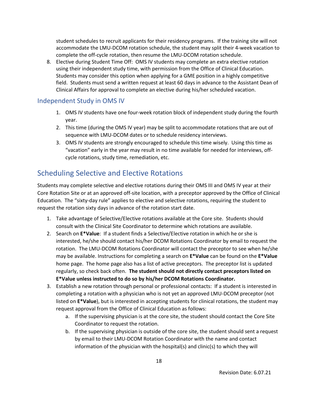student schedules to recruit applicants for their residency programs. If the training site will not accommodate the LMU-DCOM rotation schedule, the student may split their 4-week vacation to complete the off-cycle rotation, then resume the LMU-DCOM rotation schedule.

8. Elective during Student Time Off: OMS IV students may complete an extra elective rotation using their independent study time, with permission from the Office of Clinical Education. Students may consider this option when applying for a GME position in a highly competitive field. Students must send a written request at least 60 days in advance to the Assistant Dean of Clinical Affairs for approval to complete an elective during his/her scheduled vacation.

## <span id="page-24-0"></span>Independent Study in OMS IV

- 1. OMS IV students have one four-week rotation block of independent study during the fourth year.
- 2. This time (during the OMS IV year) may be split to accommodate rotations that are out of sequence with LMU-DCOM dates or to schedule residency interviews.
- 3. OMS IV students are strongly encouraged to schedule this time wisely. Using this time as "vacation" early in the year may result in no time available for needed for interviews, offcycle rotations, study time, remediation, etc.

# <span id="page-24-1"></span>Scheduling Selective and Elective Rotations

Students may complete selective and elective rotations during their OMS III and OMS IV year at their Core Rotation Site or at an approved off-site location, with a preceptor approved by the Office of Clinical Education. The "sixty-day rule" applies to elective and selective rotations, requiring the student to request the rotation sixty days in advance of the rotation start date.

- 1. Take advantage of Selective/Elective rotations available at the Core site. Students should consult with the Clinical Site Coordinator to determine which rotations are available.
- 2. Search on **E\*Value**: If a student finds a Selective/Elective rotation in which he or she is interested, he/she should contact his/her DCOM Rotations Coordinator by email to request the rotation. The LMU-DCOM Rotations Coordinator will contact the preceptor to see when he/she may be available. Instructions for completing a search on **E\*Value** can be found on the **E\*Value** home page. The home page also has a list of active preceptors. The preceptor list is updated regularly, so check back often. **The student should not directly contact preceptors listed on E\*Value unless instructed to do so by his/her DCOM Rotations Coordinator.**
- 3. Establish a new rotation through personal or professional contacts: If a student is interested in completing a rotation with a physician who is not yet an approved LMU-DCOM preceptor (not listed on **E\*Value**), but is interested in accepting students for clinical rotations, the student may request approval from the Office of Clinical Education as follows:
	- a. If the supervising physician is at the core site, the student should contact the Core Site Coordinator to request the rotation.
	- b. If the supervising physician is outside of the core site, the student should sent a request by email to their LMU-DCOM Rotation Coordinator with the name and contact information of the physician with the hospital(s) and clinic(s) to which they will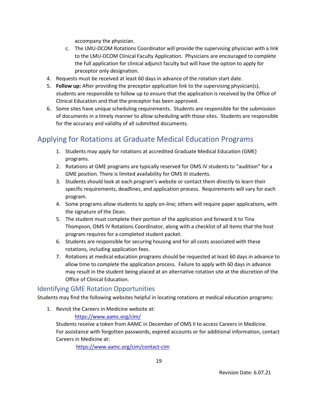accompany the physician.

- c. The LMU-DCOM Rotations Coordinator will provide the supervising physician with a link to the LMU-DCOM Clinical Faculty Application. Physicians are encouraged to complete the full application for clinical adjunct faculty but will have the option to apply for preceptor only designation.
- 4. Requests must be received at least 60 days in advance of the rotation start date.
- 5. **Follow up:** After providing the preceptor application link to the supervising physician(s), students are responsible to follow up to ensure that the application is received by the Office of Clinical Education and that the preceptor has been approved.
- 6. Some sites have unique scheduling requirements. Students are responsible for the submission of documents in a timely manner to allow scheduling with those sites. Students are responsible for the accuracy and validity of all submitted documents.

# <span id="page-25-0"></span>Applying for Rotations at Graduate Medical Education Programs

- 1. Students may apply for rotations at accredited Graduate Medical Education (GME) programs.
- 2. Rotations at GME programs are typically reserved for OMS IV students to "audition" for a GME position. There is limited availability for OMS III students.
- 3. Students should look at each program's website or contact them directly to learn their specific requirements, deadlines, and application process. Requirements will vary for each program.
- 4. Some programs allow students to apply on-line; others will require paper applications, with the signature of the Dean.
- 5. The student must complete their portion of the application and forward it to Tina Thompson, OMS IV Rotations Coordinator, along with a checklist of all items that the host program requires for a completed student packet.
- 6. Students are responsible for securing housing and for all costs associated with these rotations, including application fees.
- 7. Rotations at medical education programs should be requested at least 60 days in advance to allow time to complete the application process. Failure to apply with 60 days in advance may result in the student being placed at an alternative rotation site at the discretion of the Office of Clinical Education.

## <span id="page-25-1"></span>Identifying GME Rotation Opportunities

Students may find the following websites helpful in locating rotations at medical education programs:

1. Revisit the Careers in Medicine website at:

#### <https://www.aamc.org/cim/>

Students receive a token from AAMC in December of OMS II to access Careers in Medicine. For assistance with forgotten passwords, expired accounts or for additional information, contact Careers in Medicine at:

<https://www.aamc.org/cim/contact-cim>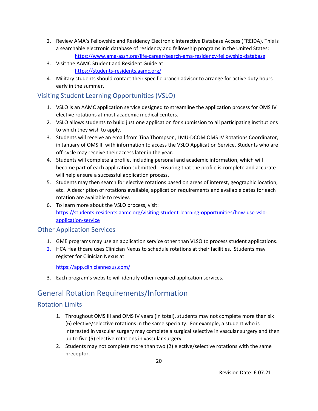- 2. Review AMA's Fellowship and Residency Electronic Interactive Database Access (FREIDA). This is a searchable electronic database of residency and fellowship programs in the United States: <https://www.ama-assn.org/life-career/search-ama-residency-fellowship-database>
- 3. Visit the AAMC Student and Resident Guide at: <https://students-residents.aamc.org/>
- 4. Military students should contact their specific branch advisor to arrange for active duty hours early in the summer.

## <span id="page-26-0"></span>Visiting Student Learning Opportunities (VSLO)

- 1. VSLO is an AAMC application service designed to streamline the application process for OMS IV elective rotations at most academic medical centers.
- 2. VSLO allows students to build just one application for submission to all participating institutions to which they wish to apply.
- 3. Students will receive an email from Tina Thompson, LMU-DCOM OMS IV Rotations Coordinator, in January of OMS III with information to access the VSLO Application Service. Students who are off-cycle may receive their access later in the year.
- 4. Students will complete a profile, including personal and academic information, which will become part of each application submitted. Ensuring that the profile is complete and accurate will help ensure a successful application process.
- 5. Students may then search for elective rotations based on areas of interest, geographic location, etc. A description of rotations available, application requirements and available dates for each rotation are available to review.
- 6. To learn more about the VSLO process, visit: [https://students-residents.aamc.org/visiting-student-learning-opportunities/how-use-vslo](https://students-residents.aamc.org/visiting-student-learning-opportunities/how-use-vslo-application-service)[application-service](https://students-residents.aamc.org/visiting-student-learning-opportunities/how-use-vslo-application-service)

## <span id="page-26-1"></span>Other Application Services

- 1. GME programs may use an application service other than VLSO to process student applications.
- 2. HCA Healthcare uses Clinician Nexus to schedule rotations at their facilities. Students may register for Clinician Nexus at:

<https://app.cliniciannexus.com/>

3. Each program's website will identify other required application services.

## <span id="page-26-2"></span>General Rotation Requirements/Information

## <span id="page-26-3"></span>Rotation Limits

- 1. Throughout OMS III and OMS IV years (in total), students may not complete more than six (6) elective/selective rotations in the same specialty. For example, a student who is interested in vascular surgery may complete a surgical selective in vascular surgery and then up to five (5) elective rotations in vascular surgery.
- 2. Students may not complete more than two (2) elective/selective rotations with the same preceptor.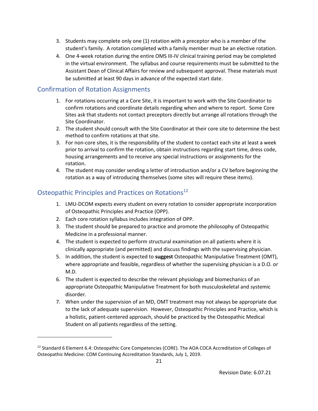- 3. Students may complete only one (1) rotation with a preceptor who is a member of the student's family. A rotation completed with a family member must be an elective rotation.
- 4. One 4-week rotation during the entire OMS III-IV clinical training period may be completed in the virtual environment. The syllabus and course requirements must be submitted to the Assistant Dean of Clinical Affairs for review and subsequent approval. These materials must be submitted at least 90 days in advance of the expected start date.

## <span id="page-27-0"></span>Confirmation of Rotation Assignments

- 1. For rotations occurring at a Core Site, it is important to work with the Site Coordinator to confirm rotations and coordinate details regarding when and where to report. Some Core Sites ask that students not contact preceptors directly but arrange all rotations through the Site Coordinator.
- 2. The student should consult with the Site Coordinator at their core site to determine the best method to confirm rotations at that site.
- 3. For non-core sites, it is the responsibility of the student to contact each site at least a week prior to arrival to confirm the rotation, obtain instructions regarding start time, dress code, housing arrangements and to receive any special instructions or assignments for the rotation.
- 4. The student may consider sending a letter of introduction and/or a CV before beginning the rotation as a way of introducing themselves (some sites will require these items).

## <span id="page-27-1"></span>Osteopathic Principles and Practices on Rotations<sup>12</sup>

- 1. LMU-DCOM expects every student on every rotation to consider appropriate incorporation of Osteopathic Principles and Practice (OPP).
- 2. Each core rotation syllabus includes integration of OPP.
- 3. The student should be prepared to practice and promote the philosophy of Osteopathic Medicine in a professional manner.
- 4. The student is expected to perform structural examination on all patients where it is clinically appropriate (and permitted) and discuss findings with the supervising physician.
- 5. In addition, the student is expected to **suggest** Osteopathic Manipulative Treatment (OMT), where appropriate and feasible, regardless of whether the supervising physician is a D.O. or M.D.
- 6. The student is expected to describe the relevant physiology and biomechanics of an appropriate Osteopathic Manipulative Treatment for both musculoskeletal and systemic disorder.
- 7. When under the supervision of an MD, OMT treatment may not always be appropriate due to the lack of adequate supervision. However, Osteopathic Principles and Practice, which is a holistic, patient-centered approach, should be practiced by the Osteopathic Medical Student on all patients regardless of the setting.

 $12$  Standard 6 Element 6.4: Osteopathic Core Competencies (CORE). The AOA COCA Accreditation of Colleges of Osteopathic Medicine: COM Continuing Accreditation Standards, July 1, 2019.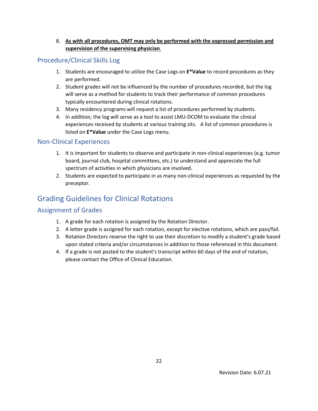#### 8. **As with all procedures, OMT may only be performed with the expressed permission and supervision of the supervising physician**.

## <span id="page-28-0"></span>Procedure/Clinical Skills Log

- 1. Students are encouraged to utilize the Case Logs on **E\*Value** to record procedures as they are performed.
- 2. Student grades will not be influenced by the number of procedures recorded, but the log will serve as a method for students to track their performance of common procedures typically encountered during clinical rotations.
- 3. Many residency programs will request a list of procedures performed by students.
- 4. In addition, the log will serve as a tool to assist LMU-DCOM to evaluate the clinical experiences received by students at various training sits. A list of common procedures is listed on **E\*Value** under the Case Logs menu.

#### <span id="page-28-1"></span>Non-Clinical Experiences

- 1. It is important for students to observe and participate in non-clinical experiences (e.g. tumor board, journal club, hospital committees, etc.) to understand and appreciate the full spectrum of activities in which physicians are involved.
- 2. Students are expected to participate in as many non-clinical experiences as requested by the preceptor.

# <span id="page-28-2"></span>Grading Guidelines for Clinical Rotations

## <span id="page-28-3"></span>Assignment of Grades

- 1. A grade for each rotation is assigned by the Rotation Director.
- 2. A letter grade is assigned for each rotation, except for elective rotations, which are pass/fail.
- 3. Rotation Directors reserve the right to use their discretion to modify a student's grade based upon stated criteria and/or circumstances in addition to those referenced in this document.
- 4. If a grade is not posted to the student's transcript within 60 days of the end of rotation, please contact the Office of Clinical Education.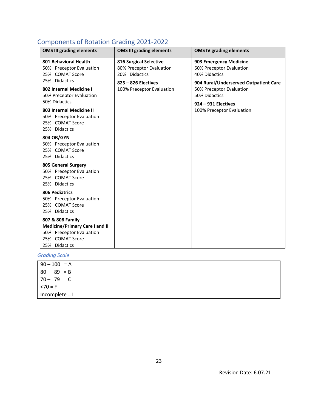# <span id="page-29-0"></span>Components of Rotation Grading 2021-2022

| <b>OMS III grading elements</b>                                                                                           | <b>OMS III grading elements</b>                                            | <b>OMS IV grading elements</b>                                                     |
|---------------------------------------------------------------------------------------------------------------------------|----------------------------------------------------------------------------|------------------------------------------------------------------------------------|
| 801 Behavioral Health<br>50% Preceptor Evaluation<br>25% COMAT Score                                                      | <b>816 Surgical Selective</b><br>80% Preceptor Evaluation<br>20% Didactics | 903 Emergency Medicine<br>60% Preceptor Evaluation<br>40% Didactics                |
| 25% Didactics<br>802 Internal Medicine I<br>50% Preceptor Evaluation                                                      | 825 - 826 Electives<br>100% Preceptor Evaluation                           | 904 Rural/Underserved Outpatient Care<br>50% Preceptor Evaluation<br>50% Didactics |
| 50% Didactics<br>803 Internal Medicine II<br>50% Preceptor Evaluation<br>25% COMAT Score<br>25% Didactics                 |                                                                            | 924 - 931 Electives<br>100% Preceptor Evaluation                                   |
| 804 OB/GYN<br>50% Preceptor Evaluation<br>25% COMAT Score<br>25% Didactics                                                |                                                                            |                                                                                    |
| 805 General Surgery<br>50% Preceptor Evaluation<br>25% COMAT Score<br>25% Didactics                                       |                                                                            |                                                                                    |
| <b>806 Pediatrics</b><br>50% Preceptor Evaluation<br>25% COMAT Score<br>25% Didactics                                     |                                                                            |                                                                                    |
| 807 & 808 Family<br><b>Medicine/Primary Care I and II</b><br>50% Preceptor Evaluation<br>25% COMAT Score<br>25% Didactics |                                                                            |                                                                                    |

*Grading Scale*

<span id="page-29-1"></span>

| $90 - 100 = A$   |  |
|------------------|--|
| $80 - 89 = B$    |  |
| $70 - 79 = C$    |  |
| $< 70 = F$       |  |
| Incomplete $= 1$ |  |
|                  |  |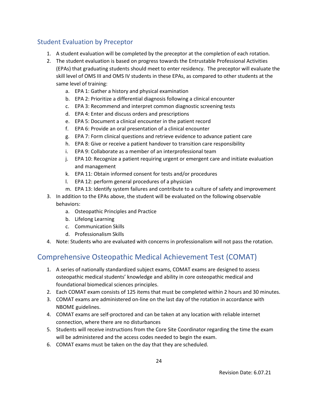## Student Evaluation by Preceptor

- 1. A student evaluation will be completed by the preceptor at the completion of each rotation.
- 2. The student evaluation is based on progress towards the Entrustable Professional Activities (EPAs) that graduating students should meet to enter residency. The preceptor will evaluate the skill level of OMS III and OMS IV students in these EPAs, as compared to other students at the same level of training:
	- a. EPA 1: Gather a history and physical examination
	- b. EPA 2: Prioritize a differential diagnosis following a clinical encounter
	- c. EPA 3: Recommend and interpret common diagnostic screening tests
	- d. EPA 4: Enter and discuss orders and prescriptions
	- e. EPA 5: Document a clinical encounter in the patient record
	- f. EPA 6: Provide an oral presentation of a clinical encounter
	- g. EPA 7: Form clinical questions and retrieve evidence to advance patient care
	- h. EPA 8: Give or receive a patient handover to transition care responsibility
	- i. EPA 9: Collaborate as a member of an interprofessional team
	- j. EPA 10: Recognize a patient requiring urgent or emergent care and initiate evaluation and management
	- k. EPA 11: Obtain informed consent for tests and/or procedures
	- l. EPA 12: perform general procedures of a physician
	- m. EPA 13: Identify system failures and contribute to a culture of safety and improvement
- 3. In addition to the EPAs above, the student will be evaluated on the following observable behaviors:
	- a. Osteopathic Principles and Practice
	- b. Lifelong Learning
	- c. Communication Skills
	- d. Professionalism Skills
- 4. Note: Students who are evaluated with concerns in professionalism will not pass the rotation.

# <span id="page-30-0"></span>Comprehensive Osteopathic Medical Achievement Test (COMAT)

- 1. A series of nationally standardized subject exams, COMAT exams are designed to assess osteopathic medical students' knowledge and ability in core osteopathic medical and foundational biomedical sciences principles.
- 2. Each COMAT exam consists of 125 items that must be completed within 2 hours and 30 minutes.
- 3. COMAT exams are administered on-line on the last day of the rotation in accordance with NBOME guidelines.
- 4. COMAT exams are self-proctored and can be taken at any location with reliable internet connection, where there are no disturbances
- 5. Students will receive instructions from the Core Site Coordinator regarding the time the exam will be administered and the access codes needed to begin the exam.
- 6. COMAT exams must be taken on the day that they are scheduled.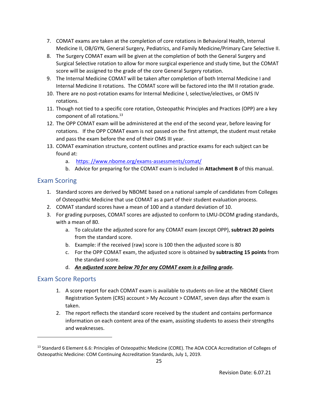- 7. COMAT exams are taken at the completion of core rotations in Behavioral Health, Internal Medicine II, OB/GYN, General Surgery, Pediatrics, and Family Medicine/Primary Care Selective II.
- 8. The Surgery COMAT exam will be given at the completion of both the General Surgery and Surgical Selective rotation to allow for more surgical experience and study time, but the COMAT score will be assigned to the grade of the core General Surgery rotation.
- 9. The Internal Medicine COMAT will be taken after completion of both Internal Medicine I and Internal Medicine II rotations. The COMAT score will be factored into the IM II rotation grade.
- 10. There are no post-rotation exams for Internal Medicine I, selective/electives, or OMS IV rotations.
- 11. Though not tied to a specific core rotation, Osteopathic Principles and Practices (OPP) are a key component of all rotations.<sup>13</sup>
- 12. The OPP COMAT exam will be administered at the end of the second year, before leaving for rotations. If the OPP COMAT exam is not passed on the first attempt, the student must retake and pass the exam before the end of their OMS III year.
- 13. COMAT examination structure, content outlines and practice exams for each subject can be found at:
	- a. [https: //www.nbome.org/exams-assessments/comat/](http://www.nbome.org/exams-assessments/comat/)
	- b. Advice for preparing for the COMAT exam is included in **Attachment B** of this manual.

## <span id="page-31-0"></span>Exam Scoring

- 1. Standard scores are derived by NBOME based on a national sample of candidates from Colleges of Osteopathic Medicine that use COMAT as a part of their student evaluation process.
- 2. COMAT standard scores have a mean of 100 and a standard deviation of 10.
- 3. For grading purposes, COMAT scores are adjusted to conform to LMU-DCOM grading standards, with a mean of 80.
	- a. To calculate the adjusted score for any COMAT exam (except OPP), **subtract 20 points** from the standard score.
	- b. Example: if the received (raw) score is 100 then the adjusted score is 80
	- c. For the OPP COMAT exam, the adjusted score is obtained by **subtracting 15 points** from the standard score.
	- d. *An adjusted score below 70 for any COMAT exam is a failing grade.*

#### <span id="page-31-1"></span>Exam Score Reports

- 1. A score report for each COMAT exam is available to students on-line at the NBOME Client Registration System (CRS) account > My Account > COMAT, seven days after the exam is taken.
- 2. The report reflects the standard score received by the student and contains performance information on each content area of the exam, assisting students to assess their strengths and weaknesses.

<sup>&</sup>lt;sup>13</sup> Standard 6 Element 6.6: Principles of Osteopathic Medicine (CORE). The AOA COCA Accreditation of Colleges of Osteopathic Medicine: COM Continuing Accreditation Standards, July 1, 2019.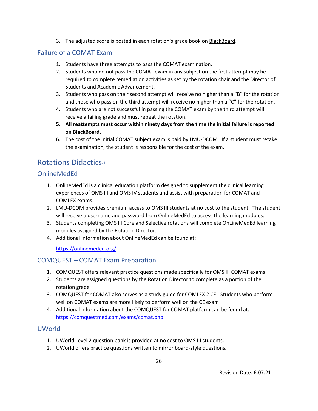3. The adjusted score is posted in each rotation's grade book on BlackBoard.

## <span id="page-32-0"></span>Failure of a COMAT Exam

- 1. Students have three attempts to pass the COMAT examination.
- 2. Students who do not pass the COMAT exam in any subject on the first attempt may be required to complete remediation activities as set by the rotation chair and the Director of Students and Academic Advancement.
- 3. Students who pass on their second attempt will receive no higher than a "B" for the rotation and those who pass on the third attempt will receive no higher than a "C" for the rotation.
- 4. Students who are not successful in passing the COMAT exam by the third attempt will receive a failing grade and must repeat the rotation.
- **5. All reattempts must occur within ninety days from the time the initial failure is reported on BlackBoard.**
- 6. The cost of the initial COMAT subject exam is paid by LMU-DCOM. If a student must retake the examination, the student is responsible for the cost of the exam.

# <span id="page-32-1"></span>Rotations Didactics<sup>14</sup>

## <span id="page-32-2"></span>OnlineMedEd

- 1. OnlineMedEd is a clinical education platform designed to supplement the clinical learning experiences of OMS III and OMS IV students and assist with preparation for COMAT and COMLEX exams.
- 2. LMU-DCOM provides premium access to OMS III students at no cost to the student. The student will receive a username and password from OnlineMedEd to access the learning modules.
- 3. Students completing OMS III Core and Selective rotations will complete OnLineMedEd learning modules assigned by the Rotation Director.
- 4. Additional information about OnlineMedEd can be found at:

<https://onlinemeded.org/>

## <span id="page-32-3"></span>COMQUEST – COMAT Exam Preparation

- 1. COMQUEST offers relevant practice questions made specifically for OMS III COMAT exams
- 2. Students are assigned questions by the Rotation Director to complete as a portion of the rotation grade
- 3. COMQUEST for COMAT also serves as a study guide for COMLEX 2 CE. Students who perform well on COMAT exams are more likely to perform well on the CE exam
- 4. Additional information about the COMQUEST for COMAT platform can be found at: <https://comquestmed.com/exams/comat.php>

## <span id="page-32-4"></span>UWorld

- 1. UWorld Level 2 question bank is provided at no cost to OMS III students.
- 2. UWorld offers practice questions written to mirror board-style questions.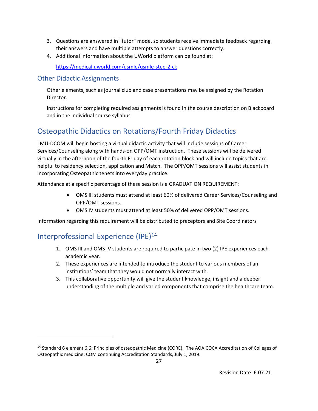- 3. Questions are answered in "tutor" mode, so students receive immediate feedback regarding their answers and have multiple attempts to answer questions correctly.
- 4. Additional information about the UWorld platform can be found at:

<https://medical.uworld.com/usmle/usmle-step-2-ck>

#### <span id="page-33-0"></span>Other Didactic Assignments

Other elements, such as journal club and case presentations may be assigned by the Rotation Director.

Instructions for completing required assignments is found in the course description on Blackboard and in the individual course syllabus.

# <span id="page-33-1"></span>Osteopathic Didactics on Rotations/Fourth Friday Didactics

LMU-DCOM will begin hosting a virtual didactic activity that will include sessions of Career Services/Counseling along with hands-on OPP/OMT instruction. These sessions will be delivered virtually in the afternoon of the fourth Friday of each rotation block and will include topics that are helpful to residency selection, application and Match. The OPP/OMT sessions will assist students in incorporating Osteopathic tenets into everyday practice.

Attendance at a specific percentage of these session is a GRADUATION REQUIREMENT:

- OMS III students must attend at least 60% of delivered Career Services/Counseling and OPP/OMT sessions.
- OMS IV students must attend at least 50% of delivered OPP/OMT sessions.

Information regarding this requirement will be distributed to preceptors and Site Coordinators

# <span id="page-33-2"></span>Interprofessional Experience (IPE) 14

- 1. OMS III and OMS IV students are required to participate in two (2) IPE experiences each academic year.
- 2. These experiences are intended to introduce the student to various members of an institutions' team that they would not normally interact with.
- 3. This collaborative opportunity will give the student knowledge, insight and a deeper understanding of the multiple and varied components that comprise the healthcare team.

<sup>&</sup>lt;sup>14</sup> Standard 6 element 6.6: Principles of osteopathic Medicine (CORE). The AOA COCA Accreditation of Colleges of Osteopathic medicine: COM continuing Accreditation Standards, July 1, 2019.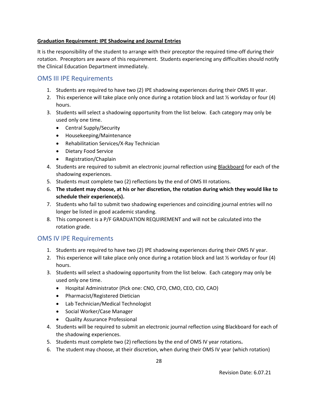#### **Graduation Requirement: IPE Shadowing and Journal Entries**

It is the responsibility of the student to arrange with their preceptor the required time-off during their rotation. Preceptors are aware of this requirement. Students experiencing any difficulties should notify the Clinical Education Department immediately.

#### <span id="page-34-0"></span>OMS III IPE Requirements

- 1. Students are required to have two (2) IPE shadowing experiences during their OMS III year.
- 2. This experience will take place only once during a rotation block and last  $\frac{1}{2}$  workday or four (4) hours.
- 3. Students will select a shadowing opportunity from the list below. Each category may only be used only one time.
	- Central Supply/Security
	- Housekeeping/Maintenance
	- Rehabilitation Services/X-Ray Technician
	- Dietary Food Service
	- Registration/Chaplain
- 4. Students are required to submit an electronic journal reflection using Blackboard for each of the shadowing experiences.
- 5. Students must complete two (2) reflections by the end of OMS III rotations.
- 6. **The student may choose, at his or her discretion, the rotation during which they would like to schedule their experience(s).**
- 7. Students who fail to submit two shadowing experiences and coinciding journal entries will no longer be listed in good academic standing.
- 8. This component is a P/F GRADUATION REQUIREMENT and will not be calculated into the rotation grade.

## <span id="page-34-1"></span>OMS IV IPE Requirements

- 1. Students are required to have two (2) IPE shadowing experiences during their OMS IV year.
- 2. This experience will take place only once during a rotation block and last  $\frac{1}{2}$  workday or four (4) hours.
- 3. Students will select a shadowing opportunity from the list below. Each category may only be used only one time.
	- Hospital Administrator (Pick one: CNO, CFO, CMO, CEO, CIO, CAO)
	- Pharmacist/Registered Dietician
	- Lab Technician/Medical Technologist
	- Social Worker/Case Manager
	- Quality Assurance Professional
- 4. Students will be required to submit an electronic journal reflection using Blackboard for each of the shadowing experiences.
- 5. Students must complete two (2) reflections by the end of OMS IV year rotations**.**
- 6. The student may choose, at their discretion, when during their OMS IV year (which rotation)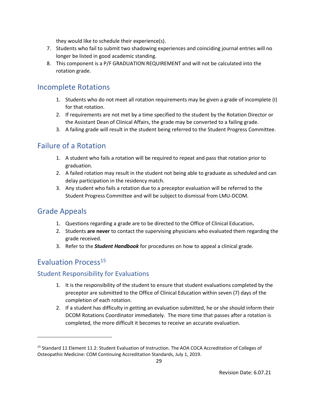they would like to schedule their experience(s).

- 7. Students who fail to submit two shadowing experiences and coinciding journal entries will no longer be listed in good academic standing.
- 8. This component is a P/F GRADUATION REQUIREMENT and will not be calculated into the rotation grade.

## <span id="page-35-0"></span>Incomplete Rotations

- 1. Students who do not meet all rotation requirements may be given a grade of incomplete (I) for that rotation.
- 2. If requirements are not met by a time specified to the student by the Rotation Director or the Assistant Dean of Clinical Affairs, the grade may be converted to a failing grade.
- 3. A failing grade will result in the student being referred to the Student Progress Committee.

## <span id="page-35-1"></span>Failure of a Rotation

- 1. A student who fails a rotation will be required to repeat and pass that rotation prior to graduation.
- 2. A failed rotation may result in the student not being able to graduate as scheduled and can delay participation in the residency match.
- 3. Any student who fails a rotation due to a preceptor evaluation will be referred to the Student Progress Committee and will be subject to dismissal from LMU-DCOM.

## <span id="page-35-2"></span>Grade Appeals

- 1. Questions regarding a grade are to be directed to the Office of Clinical Education**.**
- 2. Students **are never** to contact the supervising physicians who evaluated them regarding the grade received.
- 3. Refer to the *Student Handbook* for procedures on how to appeal a clinical grade.

# <span id="page-35-3"></span>Evaluation Process<sup>15</sup>

## <span id="page-35-4"></span>Student Responsibility for Evaluations

- 1. It is the responsibility of the student to ensure that student evaluations completed by the preceptor are submitted to the Office of Clinical Education within seven (7) days of the completion of each rotation.
- 2. If a student has difficulty in getting an evaluation submitted, he or she should inform their DCOM Rotations Coordinator immediately. The more time that passes after a rotation is completed, the more difficult it becomes to receive an accurate evaluation.

<sup>&</sup>lt;sup>15</sup> Standard 11 Element 11.2: Student Evaluation of Instruction. The AOA COCA Accreditation of Colleges of Osteopathic Medicine: COM Continuing Accreditation Standards, July 1, 2019.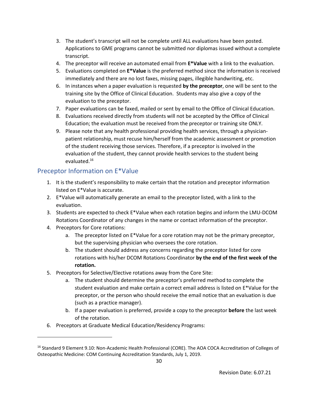- 3. The student's transcript will not be complete until ALL evaluations have been posted. Applications to GME programs cannot be submitted nor diplomas issued without a complete transcript.
- 4. The preceptor will receive an automated email from **E\*Value** with a link to the evaluation.
- 5. Evaluations completed on **E\*Value** is the preferred method since the information is received immediately and there are no lost faxes, missing pages, illegible handwriting, etc.
- 6. In instances when a paper evaluation is requested **by the preceptor**, one will be sent to the training site by the Office of Clinical Education. Students may also give a copy of the evaluation to the preceptor.
- 7. Paper evaluations can be faxed, mailed or sent by email to the Office of Clinical Education.
- 8. Evaluations received directly from students will not be accepted by the Office of Clinical Education; the evaluation must be received from the preceptor or training site ONLY.
- 9. Please note that any health professional providing health services, through a physicianpatient relationship, must recuse him/herself from the academic assessment or promotion of the student receiving those services. Therefore, if a preceptor is involved in the evaluation of the student, they cannot provide health services to the student being evaluated.<sup>16</sup>

## <span id="page-36-0"></span>Preceptor Information on E\*Value

- 1. It is the student's responsibility to make certain that the rotation and preceptor information listed on E\*Value is accurate.
- 2. E\*Value will automatically generate an email to the preceptor listed, with a link to the evaluation.
- 3. Students are expected to check E\*Value when each rotation begins and inform the LMU-DCOM Rotations Coordinator of any changes in the name or contact information of the preceptor.
- 4. Preceptors for Core rotations:
	- a. The preceptor listed on E\*Value for a core rotation may not be the primary preceptor, but the supervising physician who oversees the core rotation.
	- b. The student should address any concerns regarding the preceptor listed for core rotations with his/her DCOM Rotations Coordinator **by the end of the first week of the rotation.**
- 5. Preceptors for Selective/Elective rotations away from the Core Site:
	- a. The student should determine the preceptor's preferred method to complete the student evaluation and make certain a correct email address is listed on E\*Value for the preceptor, or the person who should receive the email notice that an evaluation is due (such as a practice manager).
	- b. If a paper evaluation is preferred, provide a copy to the preceptor **before** the last week of the rotation.
- 6. Preceptors at Graduate Medical Education/Residency Programs:

<sup>&</sup>lt;sup>16</sup> Standard 9 Element 9.10: Non-Academic Health Professional (CORE). The AOA COCA Accreditation of Colleges of Osteopathic Medicine: COM Continuing Accreditation Standards, July 1, 2019.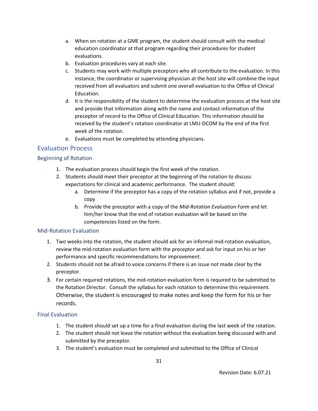- a. When on rotation at a GME program, the student should consult with the medical education coordinator at that program regarding their procedures for student evaluations.
- b. Evaluation procedures vary at each site.
- c. Students may work with multiple preceptors who all contribute to the evaluation. In this instance, the coordinator or supervising physician at the host site will combine the input received from all evaluators and submit one overall evaluation to the Office of Clinical Education.
- d. It is the responsibility of the student to determine the evaluation process at the host site and provide that information along with the name and contact information of the preceptor of record to the Office of Clinical Education. This information should be received by the student's rotation coordinator at LMU-DCOM by the end of the first week of the rotation.
- e. Evaluations must be completed by attending physicians.

## <span id="page-37-0"></span>Evaluation Process

#### <span id="page-37-1"></span>Beginning of Rotation

- 1. The evaluation process should begin the first week of the rotation.
- 2. Students should meet their preceptor at the beginning of the rotation to discuss expectations for clinical and academic performance. The student should:
	- a. Determine if the preceptor has a copy of the rotation syllabus and if not, provide a copy
	- b. Provide the preceptor with a copy of the *Mid-Rotation Evaluation Form* and let him/her know that the end of rotation evaluation will be based on the competencies listed on the form.

#### <span id="page-37-2"></span>Mid-Rotation Evaluation

- 1. Two weeks into the rotation, the student should ask for an informal mid-rotation evaluation, review the mid-rotation evaluation form with the preceptor and ask for input on his or her performance and specific recommendations for improvement.
- 2. Students should not be afraid to voice concerns if there is an issue not made clear by the preceptor.
- 3. For certain required rotations, the mid-rotation evaluation form is required to be submitted to the Rotation Director. Consult the syllabus for each rotation to determine this requirement. Otherwise, the student is encouraged to make notes and keep the form for his or her records.

#### <span id="page-37-3"></span>Final Evaluation

- 1. The student should set up a time for a final evaluation during the last week of the rotation.
- 2. The student should not leave the rotation without the evaluation being discussed with and submitted by the preceptor.
- 3. The student's evaluation must be completed and submitted to the Office of Clinical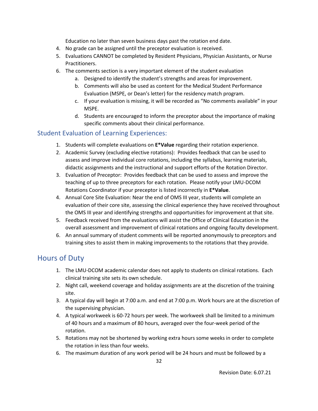Education no later than seven business days past the rotation end date.

- 4. No grade can be assigned until the preceptor evaluation is received.
- 5. Evaluations CANNOT be completed by Resident Physicians, Physician Assistants, or Nurse Practitioners.
- 6. The comments section is a very important element of the student evaluation
	- a. Designed to identify the student's strengths and areas for improvement.
	- b. Comments will also be used as content for the Medical Student Performance Evaluation (MSPE, or Dean's letter) for the residency match program.
	- c. If your evaluation is missing, it will be recorded as "No comments available" in your MSPE.
	- d. Students are encouraged to inform the preceptor about the importance of making specific comments about their clinical performance.

## <span id="page-38-0"></span>Student Evaluation of Learning Experiences:

- 1. Students will complete evaluations on **E\*Value** regarding their rotation experience.
- 2. Academic Survey (excluding elective rotations): Provides feedback that can be used to assess and improve individual core rotations, including the syllabus, learning materials, didactic assignments and the instructional and support efforts of the Rotation Director.
- 3. Evaluation of Preceptor: Provides feedback that can be used to assess and improve the teaching of up to three preceptors for each rotation. Please notify your LMU-DCOM Rotations Coordinator if your preceptor is listed incorrectly in **E\*Value**.
- 4. Annual Core Site Evaluation: Near the end of OMS III year, students will complete an evaluation of their core site, assessing the clinical experience they have received throughout the OMS III year and identifying strengths and opportunities for improvement at that site.
- 5. Feedback received from the evaluations will assist the Office of Clinical Education in the overall assessment and improvement of clinical rotations and ongoing faculty development.
- 6. An annual summary of student comments will be reported anonymously to preceptors and training sites to assist them in making improvements to the rotations that they provide.

## <span id="page-38-1"></span>Hours of Duty

- 1. The LMU-DCOM academic calendar does not apply to students on clinical rotations. Each clinical training site sets its own schedule.
- 2. Night call, weekend coverage and holiday assignments are at the discretion of the training site.
- 3. A typical day will begin at 7:00 a.m. and end at 7:00 p.m. Work hours are at the discretion of the supervising physician.
- 4. A typical workweek is 60-72 hours per week. The workweek shall be limited to a minimum of 40 hours and a maximum of 80 hours, averaged over the four-week period of the rotation.
- 5. Rotations may not be shortened by working extra hours some weeks in order to complete the rotation in less than four weeks.
- 6. The maximum duration of any work period will be 24 hours and must be followed by a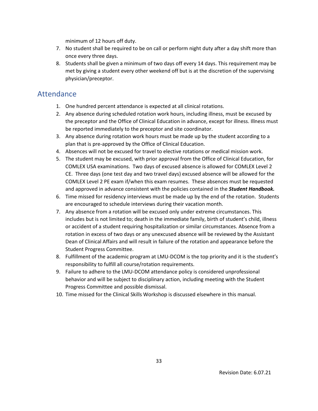minimum of 12 hours off duty.

- 7. No student shall be required to be on call or perform night duty after a day shift more than once every three days.
- 8. Students shall be given a minimum of two days off every 14 days. This requirement may be met by giving a student every other weekend off but is at the discretion of the supervising physician/preceptor.

## <span id="page-39-0"></span>Attendance

- 1. One hundred percent attendance is expected at all clinical rotations.
- 2. Any absence during scheduled rotation work hours, including illness, must be excused by the preceptor and the Office of Clinical Education in advance, except for illness. Illness must be reported immediately to the preceptor and site coordinator.
- 3. Any absence during rotation work hours must be made up by the student according to a plan that is pre-approved by the Office of Clinical Education.
- 4. Absences will not be excused for travel to elective rotations or medical mission work.
- 5. The student may be excused, with prior approval from the Office of Clinical Education, for COMLEX USA examinations. Two days of excused absence is allowed for COMLEX Level 2 CE. Three days (one test day and two travel days) excused absence will be allowed for the COMLEX Level 2 PE exam if/when this exam resumes. These absences must be requested and approved in advance consistent with the policies contained in the *Student Handbook.*
- 6. Time missed for residency interviews must be made up by the end of the rotation. Students are encouraged to schedule interviews during their vacation month.
- 7. Any absence from a rotation will be excused only under extreme circumstances. This includes but is not limited to; death in the immediate family, birth of student's child, illness or accident of a student requiring hospitalization or similar circumstances. Absence from a rotation in excess of two days or any unexcused absence will be reviewed by the Assistant Dean of Clinical Affairs and will result in failure of the rotation and appearance before the Student Progress Committee.
- 8. Fulfillment of the academic program at LMU-DCOM is the top priority and it is the student's responsibility to fulfill all course/rotation requirements.
- 9. Failure to adhere to the LMU-DCOM attendance policy is considered unprofessional behavior and will be subject to disciplinary action, including meeting with the Student Progress Committee and possible dismissal.
- 10. Time missed for the Clinical Skills Workshop is discussed elsewhere in this manual.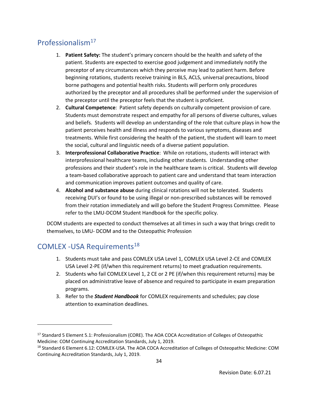# <span id="page-40-0"></span>Professionalism $17$

- 1. **Patient Safety:** The student's primary concern should be the health and safety of the patient. Students are expected to exercise good judgement and immediately notify the preceptor of any circumstances which they perceive may lead to patient harm. Before beginning rotations, students receive training in BLS, ACLS, universal precautions, blood borne pathogens and potential health risks. Students will perform only procedures authorized by the preceptor and all procedures shall be performed under the supervision of the preceptor until the preceptor feels that the student is proficient.
- 2. **Cultural Competence**: Patient safety depends on culturally competent provision of care. Students must demonstrate respect and empathy for all persons of diverse cultures, values and beliefs. Students will develop an understanding of the role that culture plays in how the patient perceives health and illness and responds to various symptoms, diseases and treatments. While first considering the health of the patient, the student will learn to meet the social, cultural and linguistic needs of a diverse patient population.
- 3. **Interprofessional Collaborative Practice**: While on rotations, students will interact with interprofessional healthcare teams, including other students. Understanding other professions and their student's role in the healthcare team is critical. Students will develop a team-based collaborative approach to patient care and understand that team interaction and communication improves patient outcomes and quality of care.
- 4. **Alcohol and substance abuse** during clinical rotations will not be tolerated. Students receiving DUI's or found to be using illegal or non-prescribed substances will be removed from their rotation immediately and will go before the Student Progress Committee. Please refer to the LMU-DCOM Student Handbook for the specific policy.

DCOM students are expected to conduct themselves at all times in such a way that brings credit to themselves, to LMU- DCOM and to the Osteopathic Profession

# <span id="page-40-1"></span>COMLEX - USA Requirements<sup>18</sup>

- 1. Students must take and pass COMLEX USA Level 1, COMLEX USA Level 2-CE and COMLEX USA Level 2-PE (if/when this requirement returns) to meet graduation requirements.
- 2. Students who fail COMLEX Level 1, 2 CE or 2 PE (if/when this requirement returns) may be placed on administrative leave of absence and required to participate in exam preparation programs.
- 3. Refer to the *Student Handbook* for COMLEX requirements and schedules; pay close attention to examination deadlines.

<sup>&</sup>lt;sup>17</sup> Standard 5 Element 5.1: Professionalism (CORE). The AOA COCA Accreditation of Colleges of Osteopathic Medicine: COM Continuing Accreditation Standards, July 1, 2019.

<sup>18</sup> Standard 6 Element 6.12: COMLEX-USA. The AOA COCA Accreditation of Colleges of Osteopathic Medicine: COM Continuing Accreditation Standards, July 1, 2019.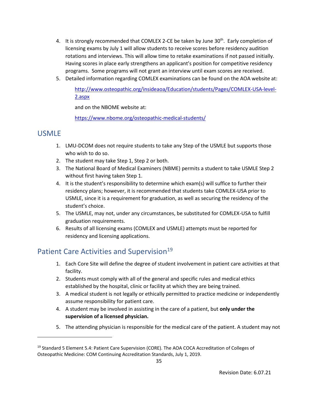- 4. It is strongly recommended that COMLEX 2-CE be taken by June  $30<sup>th</sup>$ . Early completion of licensing exams by July 1 will allow students to receive scores before residency audition rotations and interviews. This will allow time to retake examinations if not passed initially. Having scores in place early strengthens an applicant's position for competitive residency programs. Some programs will not grant an interview until exam scores are received.
- 5. Detailed information regarding COMLEX examinations can be found on the AOA website at:

[http://www.osteopathic.org/insideaoa/Education/students/Pages/COMLEX-USA-level-](http://www.osteopathic.org/insideaoa/Education/students/Pages/COMLEX-USA-level-2.aspx)[2.aspx](http://www.osteopathic.org/insideaoa/Education/students/Pages/COMLEX-USA-level-2.aspx)

and on the NBOME website at:

<https://www.nbome.org/osteopathic-medical-students/>

## <span id="page-41-0"></span>USMLE

- 1. LMU-DCOM does not require students to take any Step of the USMLE but supports those who wish to do so.
- 2. The student may take Step 1, Step 2 or both.
- 3. The National Board of Medical Examiners (NBME) permits a student to take USMLE Step 2 without first having taken Step 1.
- 4. It is the student's responsibility to determine which exam(s) will suffice to further their residency plans; however, it is recommended that students take COMLEX-USA prior to USMLE, since it is a requirement for graduation, as well as securing the residency of the student's choice.
- 5. The USMLE, may not, under any circumstances, be substituted for COMLEX-USA to fulfill graduation requirements.
- 6. Results of all licensing exams (COMLEX and USMLE) attempts must be reported for residency and licensing applications.

# <span id="page-41-1"></span>Patient Care Activities and Supervision<sup>19</sup>

- 1. Each Core Site will define the degree of student involvement in patient care activities at that facility.
- 2. Students must comply with all of the general and specific rules and medical ethics established by the hospital, clinic or facility at which they are being trained.
- 3. A medical student is not legally or ethically permitted to practice medicine or independently assume responsibility for patient care.
- 4. A student may be involved in assisting in the care of a patient, but **only under the supervision of a licensed physician.**
- 5. The attending physician is responsible for the medical care of the patient. A student may not

<sup>&</sup>lt;sup>19</sup> Standard 5 Element 5.4: Patient Care Supervision (CORE). The AOA COCA Accreditation of Colleges of Osteopathic Medicine: COM Continuing Accreditation Standards, July 1, 2019.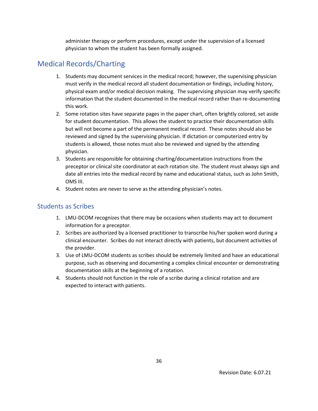administer therapy or perform procedures, except under the supervision of a licensed physician to whom the student has been formally assigned.

# <span id="page-42-0"></span>Medical Records/Charting

- 1. Students may document services in the medical record; however, the supervising physician must verify in the medical record all student documentation or findings, including history, physical exam and/or medical decision making. The supervising physician may verify specific information that the student documented in the medical record rather than re-documenting this work.
- 2. Some rotation sites have separate pages in the paper chart, often brightly colored, set aside for student documentation. This allows the student to practice their documentation skills but will not become a part of the permanent medical record. These notes should also be reviewed and signed by the supervising physician. If dictation or computerized entry by students is allowed, those notes must also be reviewed and signed by the attending physician.
- 3. Students are responsible for obtaining charting/documentation instructions from the preceptor or clinical site coordinator at each rotation site. The student must always sign and date all entries into the medical record by name and educational status, such as John Smith, OMS III.
- 4. Student notes are never to serve as the attending physician's notes.

## <span id="page-42-1"></span>Students as Scribes

- 1. LMU-DCOM recognizes that there may be occasions when students may act to document information for a preceptor.
- 2. Scribes are authorized by a licensed practitioner to transcribe his/her spoken word during a clinical encounter. Scribes do not interact directly with patients, but document activities of the provider.
- 3. Use of LMU-DCOM students as scribes should be extremely limited and have an educational purpose, such as observing and documenting a complex clinical encounter or demonstrating documentation skills at the beginning of a rotation.
- 4. Students should not function in the role of a scribe during a clinical rotation and are expected to interact with patients.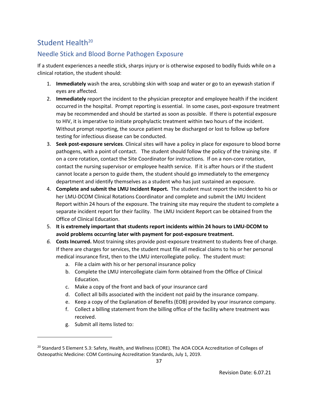# <span id="page-43-0"></span>Student Health<sup>20</sup>

## <span id="page-43-1"></span>Needle Stick and Blood Borne Pathogen Exposure

If a student experiences a needle stick, sharps injury or is otherwise exposed to bodily fluids while on a clinical rotation, the student should:

- 1. **Immediately** wash the area, scrubbing skin with soap and water or go to an eyewash station if eyes are affected.
- 2. **Immediately** report the incident to the physician preceptor and employee health if the incident occurred in the hospital. Prompt reporting is essential. In some cases, post-exposure treatment may be recommended and should be started as soon as possible. If there is potential exposure to HIV, it is imperative to initiate prophylactic treatment within two hours of the incident. Without prompt reporting, the source patient may be discharged or lost to follow up before testing for infectious disease can be conducted.
- 3. **Seek post-exposure services**. Clinical sites will have a policy in place for exposure to blood borne pathogens, with a point of contact. The student should follow the policy of the training site. If on a core rotation, contact the Site Coordinator for instructions. If on a non-core rotation, contact the nursing supervisor or employee health service. If it is after hours or if the student cannot locate a person to guide them, the student should go immediately to the emergency department and identify themselves as a student who has just sustained an exposure.
- 4. **Complete and submit the LMU Incident Report.** The student must report the incident to his or her LMU-DCOM Clinical Rotations Coordinator and complete and submit the LMU Incident Report within 24 hours of the exposure. The training site may require the student to complete a separate incident report for their facility. The LMU Incident Report can be obtained from the Office of Clinical Education.
- 5. **It is extremely important that students report incidents within 24 hours to LMU-DCOM to avoid problems occurring later with payment for post-exposure treatment.**
- *6.* **Costs Incurred.** Most training sites provide post-exposure treatment to students free of charge. If there are charges for services, the student must file all medical claims to his or her personal medical insurance first, then to the LMU intercollegiate policy. The student must:
	- a. File a claim with his or her personal insurance policy
	- b. Complete the LMU intercollegiate claim form obtained from the Office of Clinical Education.
	- c. Make a copy of the front and back of your insurance card
	- d. Collect all bills associated with the incident not paid by the insurance company.
	- e. Keep a copy of the Explanation of Benefits (EOB) provided by your insurance company.
	- f. Collect a billing statement from the billing office of the facility where treatment was received.
	- g. Submit all items listed to:

<sup>&</sup>lt;sup>20</sup> Standard 5 Element 5.3: Safety, Health, and Wellness (CORE). The AOA COCA Accreditation of Colleges of Osteopathic Medicine: COM Continuing Accreditation Standards, July 1, 2019.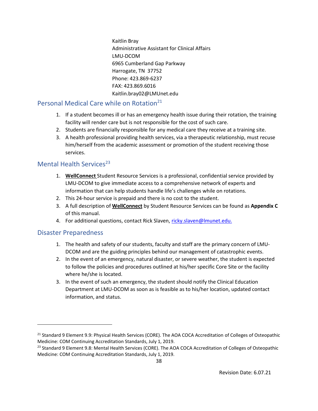Kaitlin Bray Administrative Assistant for Clinical Affairs LMU-DCOM 6965 Cumberland Gap Parkway Harrogate, TN 37752 Phone: 423.869-6237 FAX: 423.869.6016 Kaitlin.bray02@LMUnet.edu

#### <span id="page-44-0"></span>Personal Medical Care while on Rotation<sup>21</sup>

- 1. If a student becomes ill or has an emergency health issue during their rotation, the training facility will render care but is not responsible for the cost of such care.
- 2. Students are financially responsible for any medical care they receive at a training site.
- 3. A health professional providing health services, via a therapeutic relationship, must recuse him/herself from the academic assessment or promotion of the student receiving those services.

#### <span id="page-44-1"></span>Mental Health Services<sup>23</sup>

- 1. **WellConnect** Student Resource Services is a professional, confidential service provided by LMU-DCOM to give immediate access to a comprehensive network of experts and information that can help students handle life's challenges while on rotations.
- 2. This 24-hour service is prepaid and there is no cost to the student.
- 3. A full description of **WellConnect** by Student Resource Services can be found as **Appendix C** of this manual.
- 4. For additional questions, contact Rick Slaven, [ricky.slaven@lmunet.edu.](mailto:ricky.slaven@lmunet.edu)

#### <span id="page-44-2"></span>Disaster Preparedness

- 1. The health and safety of our students, faculty and staff are the primary concern of LMU-DCOM and are the guiding principles behind our management of catastrophic events.
- 2. In the event of an emergency, natural disaster, or severe weather, the student is expected to follow the policies and procedures outlined at his/her specific Core Site or the facility where he/she is located.
- 3. In the event of such an emergency, the student should notify the Clinical Education Department at LMU-DCOM as soon as is feasible as to his/her location, updated contact information, and status.

<sup>&</sup>lt;sup>21</sup> Standard 9 Element 9.9: Physical Health Services (CORE). The AOA COCA Accreditation of Colleges of Osteopathic Medicine: COM Continuing Accreditation Standards, July 1, 2019.

<sup>&</sup>lt;sup>23</sup> Standard 9 Element 9.8: Mental Health Services (CORE). The AOA COCA Accreditation of Colleges of Osteopathic Medicine: COM Continuing Accreditation Standards, July 1, 2019.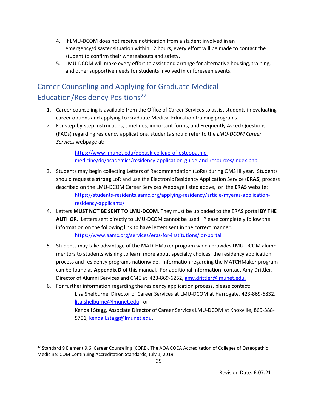- 4. If LMU-DCOM does not receive notification from a student involved in an emergency/disaster situation within 12 hours, every effort will be made to contact the student to confirm their whereabouts and safety.
- 5. LMU-DCOM will make every effort to assist and arrange for alternative housing, training, and other supportive needs for students involved in unforeseen events.

# <span id="page-45-0"></span>Career Counseling and Applying for Graduate Medical Education/Residency Positions<sup>27</sup>

- 1. Career counseling is available from the Office of Career Services to assist students in evaluating career options and applying to Graduate Medical Education training programs.
- 2. For step-by-step instructions, timelines, important forms, and Frequently Asked Questions (FAQs) regarding residency applications, students should refer to the *LMU-DCOM Career Services* webpage at:

[https://www.lmunet.edu/debusk-college-of-osteopathic](https://www.lmunet.edu/debusk-college-of-osteopathic-medicine/do/academics/residency-application-guide-and-resources/index.php)[medicine/do/academics/residency-application-guide-and-resources/index.php](https://www.lmunet.edu/debusk-college-of-osteopathic-medicine/do/academics/residency-application-guide-and-resources/index.php)

- 3. Students may begin collecting Letters of Recommendation (LoRs) during OMS III year. Students should request a **strong** LoR and use the Electronic Residency Application Service (**ERAS**) process described on the LMU-DCOM Career Services Webpage listed above, or the **ERAS** website: [https://students-residents.aamc.org/applying-residency/article/myeras-application](https://students-residents.aamc.org/applying-residency/article/myeras-application-residency-applicants/)[residency-applicants/](https://students-residents.aamc.org/applying-residency/article/myeras-application-residency-applicants/)
- 4. Letters **MUST NOT BE SENT TO LMU-DCOM**. They must be uploaded to the ERAS portal **BY THE AUTHOR.** Letters sent directly to LMU-DCOM cannot be used. Please completely follow the information on the following link to have letters sent in the correct manner. <https://www.aamc.org/services/eras-for-institutions/lor-portal>
- 5. Students may take advantage of the MATCHMaker program which provides LMU-DCOM alumni mentors to students wishing to learn more about specialty choices, the residency application process and residency programs nationwide. Information regarding the MATCHMaker program can be found as **Appendix D** of this manual. For additional information, contact Amy Drittler, Director of Alumni Services and CME at 423-869-6252, [amy.drittler@lmunet.edu.](mailto:amy.drittler@lmunet.edu)
- 6. For further information regarding the residency application process, please contact: Lisa Shelburne, Director of Career Services at LMU-DCOM at Harrogate, 423-869-6832, [lisa.shelburne@lmunet.edu](mailto:lisa.shelburne@lmunet.edu) , or Kendall Stagg, Associate Director of Career Services LMU-DCOM at Knoxville, 865-388- 5701, [kendall.stagg@lmunet.edu.](mailto:kendall.stagg@lmunet.edu)

<sup>&</sup>lt;sup>27</sup> Standard 9 Element 9.6: Career Counseling (CORE). The AOA COCA Accreditation of Colleges of Osteopathic Medicine: COM Continuing Accreditation Standards, July 1, 2019.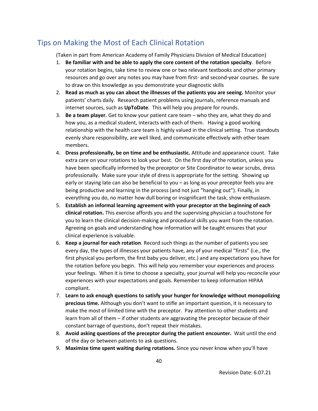# <span id="page-46-0"></span>Tips on Making the Most of Each Clinical Rotation

(Taken in part from American Academy of Family Physicians Division of Medical Education)

- 1. **Be familiar with and be able to apply the core content of the rotation specialty**. Before your rotation begins, take time to review one or two relevant textbooks and other primary resources and go over any notes you may have from first- and second-year courses. Be sure to draw on this knowledge as you demonstrate your diagnostic skills
- 2. **Read as much as you can about the illnesses of the patients you are seeing.** Monitor your patients' charts daily. Research patient problems using journals, reference manuals and internet sources, such as **UpToDate**. This will help you prepare for rounds.
- 3. **Be a team player.** Get to know your patient care team who they are, what they do and how you, as a medical student, interacts with each of them. Having a good working relationship with the health care team is highly valued in the clinical setting. True standouts evenly share responsibility, are well liked, and communicate effectively with other team members.
- 4. **Dress professionally, be on time and be enthusiastic.** Attitude and appearance count. Take extra care on your rotations to look your best. On the first day of the rotation, unless you have been specifically informed by the preceptor or Site Coordinator to wear scrubs, dress professionally. Make sure your style of dress is appropriate for the setting. Showing up early or staying late can also be beneficial to you – as long as your preceptor feels you are being productive and learning in the process (and not just "hanging out"). Finally, in everything you do, no matter how dull boring or insignificant the task, show enthusiasm.
- 5. **Establish an informal learning agreement with your preceptor at the beginning of each clinical rotation.** This exercise affords you and the supervising physician a touchstone for you to learn the clinical decision-making and procedural skills you want from the rotation. Agreeing on goals and understanding how information will be taught ensures that your clinical experience is valuable.
- 6. **Keep a journal for each rotation**. Record such things as the number of patients you see every day, the types of illnesses your patients have, any of your medical "firsts" (i.e., the first physical you perform, the first baby you deliver, etc.) and any expectations you have for the rotation before you begin. This will help you remember your experiences and process your feelings. When it is time to choose a specialty, your journal will help you reconcile your experiences with your expectations and goals. Remember to keep information HIPAA compliant.
- 7. **Learn to ask enough questions to satisfy your hunger for knowledge without monopolizing precious time.** Although you don't want to stifle an important question, it is necessary to make the most of limited time with the preceptor. Pay attention to other students and learn from all of them – if other students are aggravating the preceptor because of their constant barrage of questions, don't repeat their mistakes.
- 8. **Avoid asking questions of the preceptor during the patient encounter.** Wait until the end of the day or between patients to ask questions.
- 9. **Maximize time spent waiting during rotations.** Since you never know when you'll have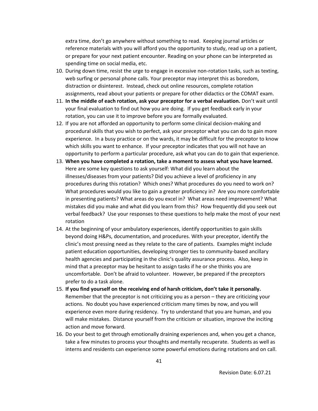extra time, don't go anywhere without something to read. Keeping journal articles or reference materials with you will afford you the opportunity to study, read up on a patient, or prepare for your next patient encounter. Reading on your phone can be interpreted as spending time on social media, etc.

- 10. During down time, resist the urge to engage in excessive non-rotation tasks, such as texting, web surfing or personal phone calls. Your preceptor may interpret this as boredom, distraction or disinterest. Instead, check out online resources, complete rotation assignments, read about your patients or prepare for other didactics or the COMAT exam.
- 11. **In the middle of each rotation, ask your preceptor for a verbal evaluation.** Don't wait until your final evaluation to find out how you are doing. If you get feedback early in your rotation, you can use it to improve before you are formally evaluated.
- 12. If you are not afforded an opportunity to perform some clinical decision-making and procedural skills that you wish to perfect, ask your preceptor what you can do to gain more experience. In a busy practice or on the wards, it may be difficult for the preceptor to know which skills you want to enhance. If your preceptor indicates that you will not have an opportunity to perform a particular procedure, ask what you can do to gain that experience.
- 13. **When you have completed a rotation, take a moment to assess what you have learned.**  Here are some key questions to ask yourself: What did you learn about the illnesses/diseases from your patients? Did you achieve a level of proficiency in any procedures during this rotation? Which ones? What procedures do you need to work on? What procedures would you like to gain a greater proficiency in? Are you more comfortable in presenting patients? What areas do you excel in? What areas need improvement? What mistakes did you make and what did you learn from this? How frequently did you seek out verbal feedback? Use your responses to these questions to help make the most of your next rotation
- 14. At the beginning of your ambulatory experiences, identify opportunities to gain skills beyond doing H&Ps, documentation, and procedures. With your preceptor, identify the clinic's most pressing need as they relate to the care of patients. Examples might include patient education opportunities, developing stronger ties to community-based ancillary health agencies and participating in the clinic's quality assurance process. Also, keep in mind that a preceptor may be hesitant to assign tasks if he or she thinks you are uncomfortable. Don't be afraid to volunteer. However, be prepared if the preceptors prefer to do a task alone.
- 15. **If you find yourself on the receiving end of harsh criticism, don't take it personally.**  Remember that the preceptor is not criticizing you as a person – they are criticizing your actions. No doubt you have experienced criticism many times by now, and you will experience even more during residency. Try to understand that you are human, and you will make mistakes. Distance yourself from the criticism or situation, improve the inciting action and move forward.
- 16. Do your best to get through emotionally draining experiences and, when you get a chance, take a few minutes to process your thoughts and mentally recuperate. Students as well as interns and residents can experience some powerful emotions during rotations and on call.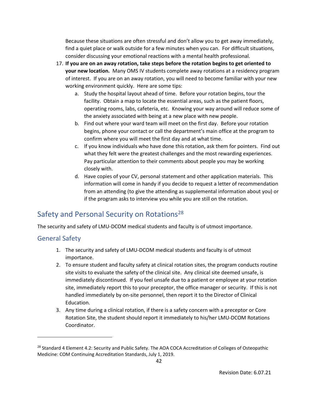Because these situations are often stressful and don't allow you to get away immediately, find a quiet place or walk outside for a few minutes when you can. For difficult situations, consider discussing your emotional reactions with a mental health professional.

- 17. **If you are on an away rotation, take steps before the rotation begins to get oriented to your new location.** Many OMS IV students complete away rotations at a residency program of interest. If you are on an away rotation, you will need to become familiar with your new working environment quickly. Here are some tips:
	- a. Study the hospital layout ahead of time. Before your rotation begins, tour the facility. Obtain a map to locate the essential areas, such as the patient floors, operating rooms, labs, cafeteria, etc. Knowing your way around will reduce some of the anxiety associated with being at a new place with new people.
	- b. Find out where your ward team will meet on the first day. Before your rotation begins, phone your contact or call the department's main office at the program to confirm where you will meet the first day and at what time.
	- c. If you know individuals who have done this rotation, ask them for pointers. Find out what they felt were the greatest challenges and the most rewarding experiences. Pay particular attention to their comments about people you may be working closely with.
	- d. Have copies of your CV, personal statement and other application materials. This information will come in handy if you decide to request a letter of recommendation from an attending (to give the attending as supplemental information about you) or if the program asks to interview you while you are still on the rotation.

# <span id="page-48-0"></span>Safety and Personal Security on Rotations<sup>28</sup>

The security and safety of LMU-DCOM medical students and faculty is of utmost importance.

## <span id="page-48-1"></span>General Safety

- 1. The security and safety of LMU-DCOM medical students and faculty is of utmost importance.
- 2. To ensure student and faculty safety at clinical rotation sites, the program conducts routine site visits to evaluate the safety of the clinical site. Any clinical site deemed unsafe, is immediately discontinued. If you feel unsafe due to a patient or employee at your rotation site, immediately report this to your preceptor, the office manager or security. If this is not handled immediately by on-site personnel, then report it to the Director of Clinical Education.
- 3. Any time during a clinical rotation, if there is a safety concern with a preceptor or Core Rotation Site, the student should report it immediately to his/her LMU-DCOM Rotations Coordinator.

<sup>&</sup>lt;sup>28</sup> Standard 4 Element 4.2: Security and Public Safety. The AOA COCA Accreditation of Colleges of Osteopathic Medicine: COM Continuing Accreditation Standards, July 1, 2019.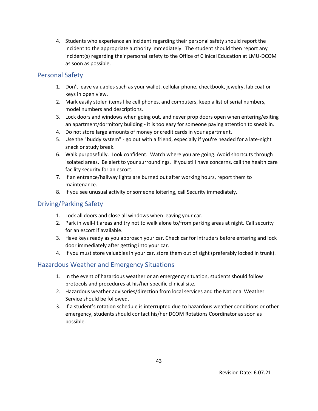4. Students who experience an incident regarding their personal safety should report the incident to the appropriate authority immediately. The student should then report any incident(s) regarding their personal safety to the Office of Clinical Education at LMU-DCOM as soon as possible.

## <span id="page-49-0"></span>Personal Safety

- 1. Don't leave valuables such as your wallet, cellular phone, checkbook, jewelry, lab coat or keys in open view.
- 2. Mark easily stolen items like cell phones, and computers, keep a list of serial numbers, model numbers and descriptions.
- 3. Lock doors and windows when going out, and never prop doors open when entering/exiting an apartment/dormitory building - it is too easy for someone paying attention to sneak in.
- 4. Do not store large amounts of money or credit cards in your apartment.
- 5. Use the "buddy system" go out with a friend, especially if you're headed for a late-night snack or study break.
- 6. Walk purposefully. Look confident. Watch where you are going. Avoid shortcuts through isolated areas. Be alert to your surroundings. If you still have concerns, call the health care facility security for an escort.
- 7. If an entrance/hallway lights are burned out after working hours, report them to maintenance.
- 8. If you see unusual activity or someone loitering, call Security immediately.

## <span id="page-49-1"></span>Driving/Parking Safety

- 1. Lock all doors and close all windows when leaving your car.
- 2. Park in well-lit areas and try not to walk alone to/from parking areas at night. Call security for an escort if available.
- 3. Have keys ready as you approach your car. Check car for intruders before entering and lock door immediately after getting into your car.
- 4. If you must store valuables in your car, store them out of sight (preferably locked in trunk).

## <span id="page-49-2"></span>Hazardous Weather and Emergency Situations

- 1. In the event of hazardous weather or an emergency situation, students should follow protocols and procedures at his/her specific clinical site.
- 2. Hazardous weather advisories/direction from local services and the National Weather Service should be followed.
- 3. If a student's rotation schedule is interrupted due to hazardous weather conditions or other emergency, students should contact his/her DCOM Rotations Coordinator as soon as possible.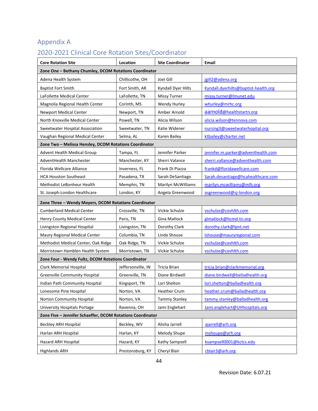# <span id="page-50-0"></span>Appendix A

# <span id="page-50-1"></span>2020-2021 Clinical Core Rotation Sites/Coordinator

| <b>Core Rotation Site</b>                                  | Location           | <b>Site Coordinator</b> | Email                                |
|------------------------------------------------------------|--------------------|-------------------------|--------------------------------------|
| Zone One - Bethany Chumley, DCOM Rotations Coordinator     |                    |                         |                                      |
| Adena Health System                                        | Chillicothe, OH    | Joei Gill               | jgill2@adena.org                     |
| <b>Baptist Fort Smith</b>                                  | Fort Smith, AR     | Kyndall Dyer Hilts      | Kyndall.dyerhilts@baptist-health.org |
| LaFollette Medical Center                                  | LaFollette, TN     | <b>Missy Turner</b>     | missy.turner@lmunet.edu              |
| Magnolia Regional Health Center                            | Corinth, MS        | Wendy Hurley            | whurley@mrhc.org                     |
| <b>Newport Medical Center</b>                              | Newport, TN        | Amber Arnold            | aarnold@healthstartn.org             |
| North Knoxville Medical Center                             | Powell, TN         | Alicia Wilson           | alicia.wilson@tennova.com            |
| Sweetwater Hospital Association                            | Sweetwater, TN     | Katie Widener           | nursing3@sweetwaterhopital.org       |
| Vaughan Regional Medical Center                            | Selma, AL          | Karen Bailey            | ktbailey@charter.net                 |
| Zone Two - Melissa Hensley, DCOM Rotations Coordinator     |                    |                         |                                      |
| Advent Health Medical Group                                | Tampa, FL          | Jennifer Parker         | jennifer.m.parker@adventhealth.com   |
| AdventHealth Manchester                                    | Manchester, KY     | Sherri Valance          | sherri.vallance@adventhealth.com     |
| Florida Wellcare Alliance                                  | Inverness, FL      | Frank Di Piazza         | frankd@floridawellcare.com           |
| <b>HCA Houston Southeast</b>                               | Pasadena, TX       | Sarah DeSantiago        | Sarah.desantiage@hcahealthcare.com   |
| Methodist LeBonheur Health                                 | Memphis, TN        | Marilyn McWilliams      | marilyn.mcwilliams@mlh.org           |
| St. Joseph-London Healthcare                               | London, KY         | Angela Greenwood        | asgreenwood@sj-london.org            |
| Zone Three - Wendy Moyers, DCOM Rotations Coordinator      |                    |                         |                                      |
| <b>Cumberland Medical Center</b>                           | Crossville, TN     | Vickie Schulze          | vschulze@covhlth.com                 |
| Henry County Medical Center                                | Paris, TN          | Gina Matlock            | glmatlock@hcmd-tn.org                |
| Livingston Regional Hospital                               | Livingston, TN     | Dorothy Clark           | dorothy.clark@lpnt.net               |
| Maury Regional Medical Center                              | Columbia, TN       | Linda Shouse            | Ishouse@mauryregional.com            |
| Methodist Medical Center, Oak Ridge                        | Oak Ridge, TN      | Vickie Schulze          | vschulze@covhlth.com                 |
| Morristown Hamblen Health System                           | Morristown, TN     | Vickie Schulze          | vschulze@covhlth.com                 |
| Zone Four - Wendy Fultz, DCOM Rotations Coordinator        |                    |                         |                                      |
| Clark Memorial Hospital                                    | Jeffersonville, IN | Tricia Brian            | tricia.brian@clarkmemorial.org       |
| <b>Greenville Community Hospital</b>                       | Greenville, TN     | Diane Birdwell          | diane.birdwell@balladhealth.org      |
| Indian Path Community Hospital                             | Kingsport, TN      | Lori Shelton            | lori.shelton@balladhealth.org        |
| Lonesome Pine Hospital                                     | Norton, VA         | Heather Crum            | heather.crum@balladhealth.org        |
| Norton Community Hospital                                  | Norton, VA         | <b>Tammy Stanley</b>    | tammy.stanley@balladhealth.org       |
| University Hospitals Portage                               | Ravenna, OH        | Jami Englehart          | Jami.englehart@UHhospitals.org       |
| Zone Five - Jennifer Schaeffer, DCOM Rotations Coordinator |                    |                         |                                      |
| Beckley ARH Hospital                                       | Beckley, WV        | Alisha Jarrell          | ajarrell@arh.org                     |
| Harlan ARH Hospital                                        | Harlan, KY         | Melody Shupe            | mshoupe@arh.org                      |
| Hazard ARH Hospital                                        | Hazard, KY         | Kathy Sampsell          | ksampsell0001@kctcs.edu              |
| <b>Highlands ARH</b>                                       | Prestonsburg, KY   | Cheryl Blair            | cblair3@arh.org                      |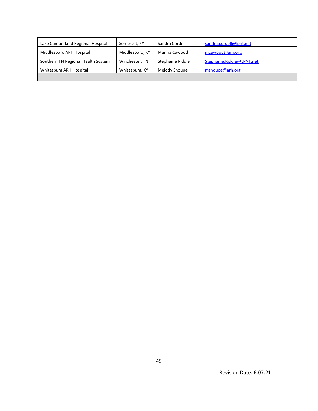| Lake Cumberland Regional Hospital  | Somerset, KY    | Sandra Cordell   | sandra.cordell@lpnt.net   |
|------------------------------------|-----------------|------------------|---------------------------|
| Middlesboro ARH Hospital           | Middlesboro, KY | Marina Cawood    | mcawood@arh.org           |
| Southern TN Regional Health System | Winchester, TN  | Stephanie Riddle | Stephanie.Riddle@LPNT.net |
| Whitesburg ARH Hospital            | Whitesburg, KY  | Melody Shoupe    | mshoupe@arh.org           |
|                                    |                 |                  |                           |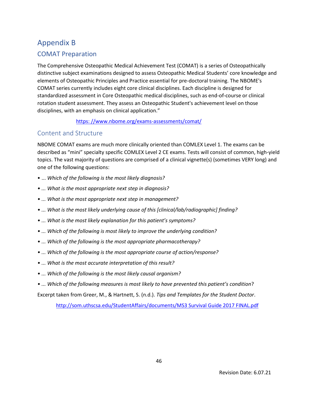# <span id="page-52-0"></span>Appendix B

## <span id="page-52-1"></span>COMAT Preparation

The Comprehensive Osteopathic Medical Achievement Test (COMAT) is a series of Osteopathically distinctive subject examinations designed to assess Osteopathic Medical Students' core knowledge and elements of Osteopathic Principles and Practice essential for pre-doctoral training. The NBOME's COMAT series currently includes eight core clinical disciplines. Each discipline is designed for standardized assessment in Core Osteopathic medical disciplines, such as end-of-course or clinical rotation student assessment. They assess an Osteopathic Student's achievement level on those disciplines, with an emphasis on clinical application."

[https: //www.nbome.org/exams-assessments/comat/](http://www.nbome.org/exams-assessments/comat/)

## <span id="page-52-2"></span>Content and Structure

NBOME COMAT exams are much more clinically oriented than COMLEX Level 1. The exams can be described as "mini" specialty specific COMLEX Level 2 CE exams. Tests will consist of common, high-yield topics. The vast majority of questions are comprised of a clinical vignette(s) (sometimes VERY long) and one of the following questions:

- ... *Which of the following is the most likely diagnosis?*
- *... What is the most appropriate next step in diagnosis?*
- *... What is the most appropriate next step in management?*
- *... What is the most likely underlying cause of this [clinical/lab/radiographic] finding?*
- *... What is the most likely explanation for this patient's symptoms?*
- *... Which of the following is most likely to improve the underlying condition?*
- *... Which of the following is the most appropriate pharmacotherapy?*
- *... Which of the following is the most appropriate course of action/response?*
- *... What is the most accurate interpretation of this result?*
- *... Which of the following is the most likely causal organism?*
- *... Which of the following measures is most likely to have prevented this patient's condition*?

Excerpt taken from Greer, M., & Hartnett, S. (n.d.). *Tips and Templates for the Student Doctor*.

[http://som.uthscsa.edu/StudentAffairs/documents/MS3 Survival Guide 2017 FINAL.pdf](http://som.uthscsa.edu/StudentAffairs/documents/MS3%20Survival%20Guide%202017%20FINAL.pdf)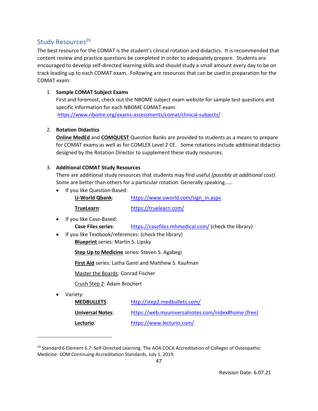## <span id="page-53-0"></span>Study Resources<sup>29</sup>

The best resource for the COMAT is the student's clinical rotation and didactics. It is recommended that content review and practice questions be completed in order to adequately prepare. Students are encouraged to develop self-directed learning skills and should study a small amount every day to be on track leading up to each COMAT exam. Following are resources that can be used in preparation for the COMAT exam:

#### 1. **Sample COMAT Subject Exams**

First and foremost, check out the NBOME subject exam website for sample test questions and [specific information for each](file:///C:/Users/christopher.loyke/Documents/%09pecific%20information%20for%20eac) NBOME COMAT exam. <https://www.nbome.org/exams-assessments/comat/clinical-subjects/>

#### 2. **Rotation Didactics**

**Online MedEd** and **COMQUEST** Question Banks are provided to students as a means to prepare for COMAT exams as well as for COMLEX Level 2 CE. Some rotations include additional didactics designed by the Rotation Director to supplement these study resources.

#### 3. **Additional COMAT Study Resources**

There are additional study resources that students may find useful *(possibly at additional cost)*. Some are better than others for a particular rotation. Generally speaking……

- If you like Question-Based: **U-World Qbank**: [https://www.uworld.com/sign\\_in.aspx](https://www.uworld.com/sign_in.aspx) **TrueLearn**: <https://truelearn.com/>
- If you like Case-Based:

**Case Files series**: <https://casefiles.mhmedical.com/> (check the library)

• If you like Textbook/references: (check the library) **Blueprint** series: Martin S. Lipsky

**Step Up to Medicine** series: Steven S. Agabegi

**First Aid** series: Latha Ganti and Matthew S. Kaufman

Master the Boards: Conrad Fischer

Crush Step 2: Adam Brochert

• Variety:

| <b>MEDBULLETS:</b>      | http://step2.medbullets.com/                       |
|-------------------------|----------------------------------------------------|
| <b>Universal Notes:</b> | https://web.myuniversalnotes.com/index#home (free) |
| Lecturio:               | https://www.lecturio.com/                          |

<sup>&</sup>lt;sup>29</sup> Standard 6 Element 6.7: Self-Directed Learning. The AOA COCA Accreditation of Colleges of Osteopathic Medicine: COM Continuing Accreditation Standards, July 1, 2019.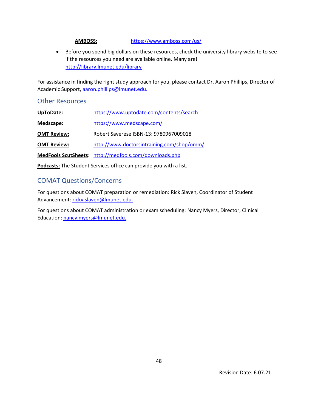#### **AMBOSS:** https://www.amboss.com/us/

• Before you spend big dollars on these resources, check the university library website to see if the resources you need are available online. Many are! <http://library.lmunet.edu/library>

For assistance in finding the right study approach for you, please contact Dr. Aaron Phillips, Director of Academic Support, [aaron.phillips@lmunet.edu.](mailto:aaron.phillips@lmunet.edu)

#### <span id="page-54-0"></span>Other Resources

| UpToDate:          | https://www.uptodate.com/contents/search               |
|--------------------|--------------------------------------------------------|
| Medscape:          | https://www.medscape.com/                              |
| <b>OMT Review:</b> | Robert Saverese ISBN-13: 9780967009018                 |
| <b>OMT Review:</b> | http://www.doctorsintraining.com/shop/omm/             |
|                    | MedFools ScutSheets: http://medfools.com/downloads.php |

**Podcasts:** The Student Services office can provide you with a list.

## <span id="page-54-1"></span>COMAT Questions/Concerns

For questions about COMAT preparation or remediation: Rick Slaven, Coordinator of Student Advancement: [ricky.slaven@lmunet.edu.](mailto:ricky.slaven@lmunet.edu)

For questions about COMAT administration or exam scheduling: Nancy Myers, Director, Clinical Education: [nancy.myers@lmunet.edu.](mailto:nancy.myers@lmunet.edu)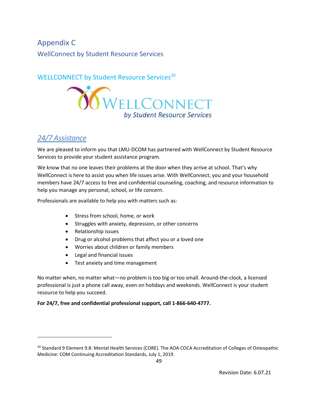<span id="page-55-1"></span><span id="page-55-0"></span>Appendix C WellConnect by Student Resource Services

## WELLCONNECT by Student Resource Services<sup>30</sup>



## *24/7 Assistance*

We are pleased to inform you that LMU-DCOM has partnered with WellConnect by Student Resource Services to provide your student assistance program.

We know that no one leaves their problems at the door when they arrive at school. That's why WellConnect is here to assist you when life issues arise. With WellConnect, you and your household members have 24/7 access to free and confidential counseling, coaching, and resource information to help you manage any personal, school, or life concern.

Professionals are available to help you with matters such as:

- Stress from school, home, or work
- Struggles with anxiety, depression, or other concerns
- Relationship issues
- Drug or alcohol problems that affect you or a loved one
- Worries about children or family members
- Legal and financial issues
- Test anxiety and time management

No matter when, no matter what—no problem is too big or too small. Around‐the‐clock, a licensed professional is just a phone call away, even on holidays and weekends. WellConnect is your student resource to help you succeed.

#### **For 24/7, free and confidential professional support, call 1‐866‐640‐4777.**

<sup>&</sup>lt;sup>30</sup> Standard 9 Element 9.8: Mental Health Services (CORE). The AOA COCA Accreditation of Colleges of Osteopathic Medicine: COM Continuing Accreditation Standards, July 1, 2019.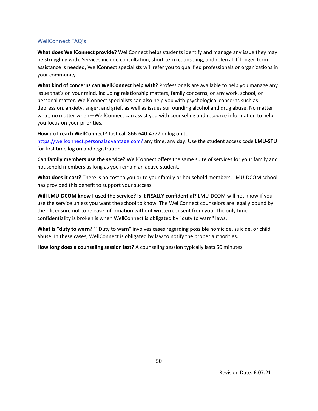#### <span id="page-56-0"></span>WellConnect FAQ's

**What does WellConnect provide?** WellConnect helps students identify and manage any issue they may be struggling with. Services include consultation, short-term counseling, and referral. If longer-term assistance is needed, WellConnect specialists will refer you to qualified professionals or organizations in your community.

**What kind of concerns can WellConnect help with?** Professionals are available to help you manage any issue that's on your mind, including relationship matters, family concerns, or any work, school, or personal matter. WellConnect specialists can also help you with psychological concerns such as depression, anxiety, anger, and grief, as well as issues surrounding alcohol and drug abuse. No matter what, no matter when—WellConnect can assist you with counseling and resource information to help you focus on your priorities.

**How do I reach WellConnect?** Just call 866-640-4777 or log on to

[https://wellconnect.personaladvantage.com/](https://nam12.safelinks.protection.outlook.com/?url=https%3A%2F%2Fwellconnect.personaladvantage.com%2F&data=02%7C01%7CNancy.Myers%40lmunet.edu%7Cc31fb550278d431c1c1d08d806602776%7Cd3ef1a875daf4bdfa11b40412f4a2b3c%7C0%7C0%7C637266357328932317&sdata=XacVm%2FnyRgH56ztPq4nvQAe%2BUnELVD1Y%2BrDDmmEWr1s%3D&reserved=0) any time, any day. Use the student access code **LMU-STU** for first time log on and registration.

**Can family members use the service?** WellConnect offers the same suite of services for your family and household members as long as you remain an active student.

**What does it cost?** There is no cost to you or to your family or household members. LMU-DCOM school has provided this benefit to support your success.

**Will LMU-DCOM know I used the service? Is it REALLY confidential?** LMU-DCOM will not know if you use the service unless you want the school to know. The WellConnect counselors are legally bound by their licensure not to release information without written consent from you. The only time confidentiality is broken is when WellConnect is obligated by "duty to warn" laws.

**What is "duty to warn?"** "Duty to warn" involves cases regarding possible homicide, suicide, or child abuse. In these cases, WellConnect is obligated by law to notify the proper authorities.

**How long does a counseling session last?** A counseling session typically lasts 50 minutes.